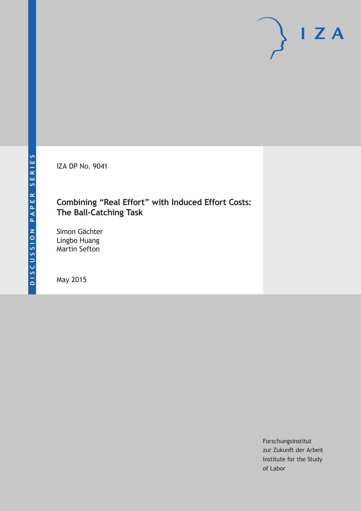IZA DP No. 9041

# **Combining "Real Effort" with Induced Effort Costs: The Ball-Catching Task**

Simon Gächter Lingbo Huang Martin Sefton

May 2015

Forschungsinstitut zur Zukunft der Arbeit Institute for the Study of Labor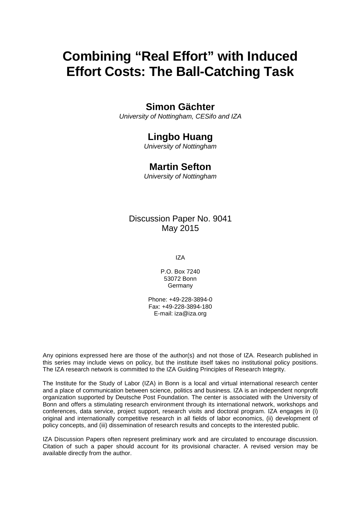# **Combining "Real Effort" with Induced Effort Costs: The Ball-Catching Task**

# **Simon Gächter**

*University of Nottingham, CESifo and IZA*

# **Lingbo Huang**

*University of Nottingham*

# **Martin Sefton**

*University of Nottingham*

# Discussion Paper No. 9041 May 2015

IZA

P.O. Box 7240 53072 Bonn Germany

Phone: +49-228-3894-0 Fax: +49-228-3894-180 E-mail: iza@iza.org

Any opinions expressed here are those of the author(s) and not those of IZA. Research published in this series may include views on policy, but the institute itself takes no institutional policy positions. The IZA research network is committed to the IZA Guiding Principles of Research Integrity.

The Institute for the Study of Labor (IZA) in Bonn is a local and virtual international research center and a place of communication between science, politics and business. IZA is an independent nonprofit organization supported by Deutsche Post Foundation. The center is associated with the University of Bonn and offers a stimulating research environment through its international network, workshops and conferences, data service, project support, research visits and doctoral program. IZA engages in (i) original and internationally competitive research in all fields of labor economics, (ii) development of policy concepts, and (iii) dissemination of research results and concepts to the interested public.

IZA Discussion Papers often represent preliminary work and are circulated to encourage discussion. Citation of such a paper should account for its provisional character. A revised version may be available directly from the author.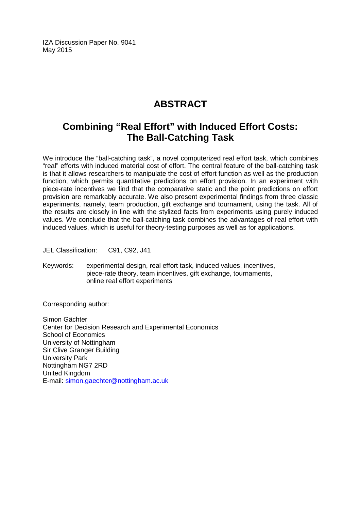IZA Discussion Paper No. 9041 May 2015

# **ABSTRACT**

# **Combining "Real Effort" with Induced Effort Costs: The Ball-Catching Task**

We introduce the "ball-catching task", a novel computerized real effort task, which combines "real" efforts with induced material cost of effort. The central feature of the ball-catching task is that it allows researchers to manipulate the cost of effort function as well as the production function, which permits quantitative predictions on effort provision. In an experiment with piece-rate incentives we find that the comparative static and the point predictions on effort provision are remarkably accurate. We also present experimental findings from three classic experiments, namely, team production, gift exchange and tournament, using the task. All of the results are closely in line with the stylized facts from experiments using purely induced values. We conclude that the ball-catching task combines the advantages of real effort with induced values, which is useful for theory-testing purposes as well as for applications.

JEL Classification: C91, C92, J41

Keywords: experimental design, real effort task, induced values, incentives, piece-rate theory, team incentives, gift exchange, tournaments, online real effort experiments

Corresponding author:

Simon Gächter Center for Decision Research and Experimental Economics School of Economics University of Nottingham Sir Clive Granger Building University Park Nottingham NG7 2RD United Kingdom E-mail: [simon.gaechter@nottingham.ac.uk](mailto:simon.gaechter@nottingham.ac.uk)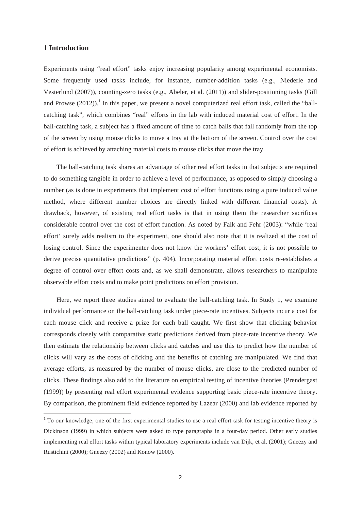# **1 Introduction**

Experiments using "real effort" tasks enjoy increasing popularity among experimental economists. Some frequently used tasks include, for instance, number-addition tasks (e.g., Niederle and Vesterlund (2007)), counting-zero tasks (e.g., Abeler, et al. (2011)) and slider-positioning tasks (Gill and Prowse  $(2012)$ .<sup>1</sup> In this paper, we present a novel computerized real effort task, called the "ballcatching task", which combines "real" efforts in the lab with induced material cost of effort. In the ball-catching task, a subject has a fixed amount of time to catch balls that fall randomly from the top of the screen by using mouse clicks to move a tray at the bottom of the screen. Control over the cost of effort is achieved by attaching material costs to mouse clicks that move the tray.

The ball-catching task shares an advantage of other real effort tasks in that subjects are required to do something tangible in order to achieve a level of performance, as opposed to simply choosing a number (as is done in experiments that implement cost of effort functions using a pure induced value method, where different number choices are directly linked with different financial costs). A drawback, however, of existing real effort tasks is that in using them the researcher sacrifices considerable control over the cost of effort function. As noted by Falk and Fehr (2003): "while 'real effort' surely adds realism to the experiment, one should also note that it is realized at the cost of losing control. Since the experimenter does not know the workers' effort cost, it is not possible to derive precise quantitative predictions" (p. 404). Incorporating material effort costs re-establishes a degree of control over effort costs and, as we shall demonstrate, allows researchers to manipulate observable effort costs and to make point predictions on effort provision.

Here, we report three studies aimed to evaluate the ball-catching task. In Study 1, we examine individual performance on the ball-catching task under piece-rate incentives. Subjects incur a cost for each mouse click and receive a prize for each ball caught. We first show that clicking behavior corresponds closely with comparative static predictions derived from piece-rate incentive theory. We then estimate the relationship between clicks and catches and use this to predict how the number of clicks will vary as the costs of clicking and the benefits of catching are manipulated. We find that average efforts, as measured by the number of mouse clicks, are close to the predicted number of clicks. These findings also add to the literature on empirical testing of incentive theories (Prendergast (1999)) by presenting real effort experimental evidence supporting basic piece-rate incentive theory. By comparison, the prominent field evidence reported by Lazear (2000) and lab evidence reported by

 $1$  To our knowledge, one of the first experimental studies to use a real effort task for testing incentive theory is Dickinson (1999) in which subjects were asked to type paragraphs in a four-day period. Other early studies implementing real effort tasks within typical laboratory experiments include van Dijk, et al. (2001); Gneezy and Rustichini (2000); Gneezy (2002) and Konow (2000).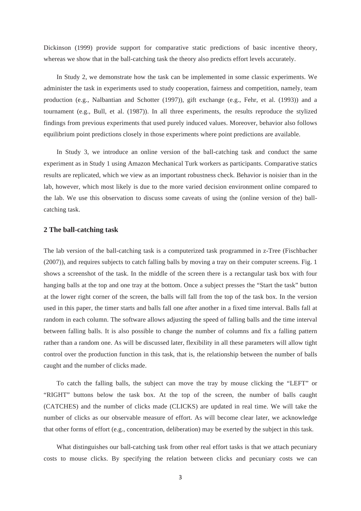Dickinson (1999) provide support for comparative static predictions of basic incentive theory, whereas we show that in the ball-catching task the theory also predicts effort levels accurately.

In Study 2, we demonstrate how the task can be implemented in some classic experiments. We administer the task in experiments used to study cooperation, fairness and competition, namely, team production (e.g., Nalbantian and Schotter (1997)), gift exchange (e.g., Fehr, et al. (1993)) and a tournament (e.g., Bull, et al. (1987)). In all three experiments, the results reproduce the stylized findings from previous experiments that used purely induced values. Moreover, behavior also follows equilibrium point predictions closely in those experiments where point predictions are available.

In Study 3, we introduce an online version of the ball-catching task and conduct the same experiment as in Study 1 using Amazon Mechanical Turk workers as participants. Comparative statics results are replicated, which we view as an important robustness check. Behavior is noisier than in the lab, however, which most likely is due to the more varied decision environment online compared to the lab. We use this observation to discuss some caveats of using the (online version of the) ballcatching task.

# **2 The ball-catching task**

The lab version of the ball-catching task is a computerized task programmed in z-Tree (Fischbacher (2007)), and requires subjects to catch falling balls by moving a tray on their computer screens. Fig. 1 shows a screenshot of the task. In the middle of the screen there is a rectangular task box with four hanging balls at the top and one tray at the bottom. Once a subject presses the "Start the task" button at the lower right corner of the screen, the balls will fall from the top of the task box. In the version used in this paper, the timer starts and balls fall one after another in a fixed time interval. Balls fall at random in each column. The software allows adjusting the speed of falling balls and the time interval between falling balls. It is also possible to change the number of columns and fix a falling pattern rather than a random one. As will be discussed later, flexibility in all these parameters will allow tight control over the production function in this task, that is, the relationship between the number of balls caught and the number of clicks made.

To catch the falling balls, the subject can move the tray by mouse clicking the "LEFT" or "RIGHT" buttons below the task box. At the top of the screen, the number of balls caught (CATCHES) and the number of clicks made (CLICKS) are updated in real time. We will take the number of clicks as our observable measure of effort. As will become clear later, we acknowledge that other forms of effort (e.g., concentration, deliberation) may be exerted by the subject in this task.

What distinguishes our ball-catching task from other real effort tasks is that we attach pecuniary costs to mouse clicks. By specifying the relation between clicks and pecuniary costs we can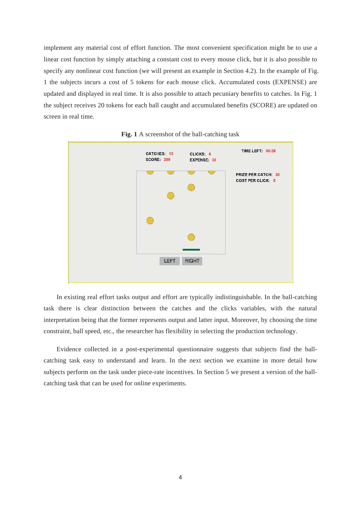implement any material cost of effort function. The most convenient specification might be to use a linear cost function by simply attaching a constant cost to every mouse click, but it is also possible to specify any nonlinear cost function (we will present an example in Section 4.2). In the example of Fig. 1 the subjects incurs a cost of 5 tokens for each mouse click. Accumulated costs (EXPENSE) are updated and displayed in real time. It is also possible to attach pecuniary benefits to catches. In Fig. 1 the subject receives 20 tokens for each ball caught and accumulated benefits (SCORE) are updated on screen in real time.





In existing real effort tasks output and effort are typically indistinguishable. In the ball-catching task there is clear distinction between the catches and the clicks variables, with the natural interpretation being that the former represents output and latter input. Moreover, by choosing the time constraint, ball speed, etc., the researcher has flexibility in selecting the production technology.

Evidence collected in a post-experimental questionnaire suggests that subjects find the ballcatching task easy to understand and learn. In the next section we examine in more detail how subjects perform on the task under piece-rate incentives. In Section 5 we present a version of the ballcatching task that can be used for online experiments.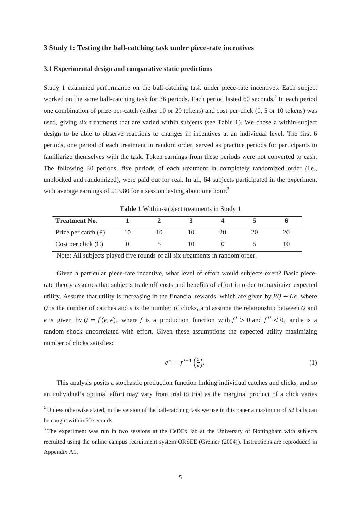### **3 Study 1: Testing the ball-catching task under piece-rate incentives**

#### **3.1 Experimental design and comparative static predictions**

Study 1 examined performance on the ball-catching task under piece-rate incentives. Each subject worked on the same ball-catching task for 36 periods. Each period lasted 60 seconds.<sup>2</sup> In each period one combination of prize-per-catch (either 10 or 20 tokens) and cost-per-click (0, 5 or 10 tokens) was used, giving six treatments that are varied within subjects (see Table 1). We chose a within-subject design to be able to observe reactions to changes in incentives at an individual level. The first 6 periods, one period of each treatment in random order, served as practice periods for participants to familiarize themselves with the task. Token earnings from these periods were not converted to cash. The following 30 periods, five periods of each treatment in completely randomized order (i.e., unblocked and randomized), were paid out for real. In all, 64 subjects participated in the experiment with average earnings of £13.80 for a session lasting about one hour.<sup>3</sup>

**Table 1** Within-subject treatments in Study 1

| <b>Treatment No.</b>  |  |  |  |
|-----------------------|--|--|--|
| Prize per catch $(P)$ |  |  |  |
| Cost per click $(C)$  |  |  |  |

Note: All subjects played five rounds of all six treatments in random order.

Given a particular piece-rate incentive, what level of effort would subjects exert? Basic piecerate theory assumes that subjects trade off costs and benefits of effort in order to maximize expected utility. Assume that utility is increasing in the financial rewards, which are given by  $PQ - Ce$ , where  $Q$  is the number of catches and  $e$  is the number of clicks, and assume the relationship between  $Q$  and e is given by  $Q = f(e, \epsilon)$ , where f is a production function with  $f' > 0$  and  $f'' < 0$ , and  $\epsilon$  is a random shock uncorrelated with effort. Given these assumptions the expected utility maximizing number of clicks satisfies:

$$
e^* = f'^{-1}\left(\frac{c}{p}\right). \tag{1}
$$

This analysis posits a stochastic production function linking individual catches and clicks, and so an individual's optimal effort may vary from trial to trial as the marginal product of a click varies

<sup>&</sup>lt;sup>2</sup> Unless otherwise stated, in the version of the ball-catching task we use in this paper a maximum of 52 balls can be caught within 60 seconds.

 $3$  The experiment was run in two sessions at the CeDEx lab at the University of Nottingham with subjects recruited using the online campus recruitment system ORSEE (Greiner (2004)). Instructions are reproduced in Appendix A1.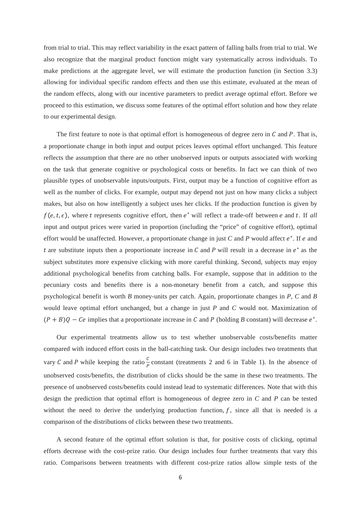from trial to trial. This may reflect variability in the exact pattern of falling balls from trial to trial. We also recognize that the marginal product function might vary systematically across individuals. To make predictions at the aggregate level, we will estimate the production function (in Section 3.3) allowing for individual specific random effects and then use this estimate, evaluated at the mean of the random effects, along with our incentive parameters to predict average optimal effort. Before we proceed to this estimation, we discuss some features of the optimal effort solution and how they relate to our experimental design.

The first feature to note is that optimal effort is homogeneous of degree zero in  $C$  and  $P$ . That is, a proportionate change in both input and output prices leaves optimal effort unchanged. This feature reflects the assumption that there are no other unobserved inputs or outputs associated with working on the task that generate cognitive or psychological costs or benefits. In fact we can think of two plausible types of unobservable inputs/outputs. First, output may be a function of cognitive effort as well as the number of clicks. For example, output may depend not just on how many clicks a subject makes, but also on how intelligently a subject uses her clicks. If the production function is given by  $f(e, t, \epsilon)$ , where t represents cognitive effort, then  $e^*$  will reflect a trade-off between  $e$  and  $t$ . If all input and output prices were varied in proportion (including the "price" of cognitive effort), optimal effort would be unaffected. However, a proportionate change in just *C* and *P* would affect  $e^*$ . If  $e$  and t are substitute inputs then a proportionate increase in  $C$  and  $P$  will result in a decrease in  $e^*$  as the subject substitutes more expensive clicking with more careful thinking. Second, subjects may enjoy additional psychological benefits from catching balls. For example, suppose that in addition to the pecuniary costs and benefits there is a non-monetary benefit from a catch, and suppose this psychological benefit is worth *B* money-units per catch. Again, proportionate changes in *P*, *C* and *B* would leave optimal effort unchanged, but a change in just *P* and *C* would not. Maximization of  $(P + B)Q - Ce$  implies that a proportionate increase in C and P (holding B constant) will decrease  $e^*$ .

Our experimental treatments allow us to test whether unobservable costs/benefits matter compared with induced effort costs in the ball-catching task. Our design includes two treatments that vary C and P while keeping the ratio  $\frac{c}{p}$  constant (treatments 2 and 6 in Table 1). In the absence of unobserved costs/benefits, the distribution of clicks should be the same in these two treatments. The presence of unobserved costs/benefits could instead lead to systematic differences. Note that with this design the prediction that optimal effort is homogeneous of degree zero in *C* and *P* can be tested without the need to derive the underlying production function,  $f$ , since all that is needed is a comparison of the distributions of clicks between these two treatments.

A second feature of the optimal effort solution is that, for positive costs of clicking, optimal efforts decrease with the cost-prize ratio. Our design includes four further treatments that vary this ratio. Comparisons between treatments with different cost-prize ratios allow simple tests of the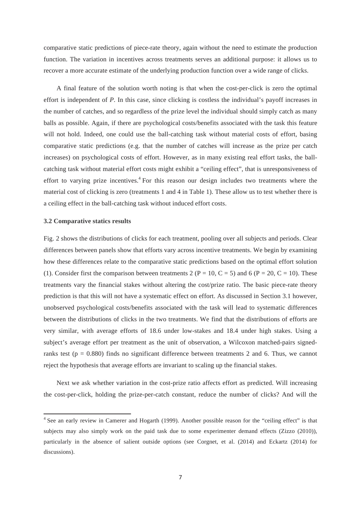comparative static predictions of piece-rate theory, again without the need to estimate the production function. The variation in incentives across treatments serves an additional purpose: it allows us to recover a more accurate estimate of the underlying production function over a wide range of clicks.

A final feature of the solution worth noting is that when the cost-per-click is zero the optimal effort is independent of *P*. In this case, since clicking is costless the individual's payoff increases in the number of catches, and so regardless of the prize level the individual should simply catch as many balls as possible. Again, if there are psychological costs/benefits associated with the task this feature will not hold. Indeed, one could use the ball-catching task without material costs of effort, basing comparative static predictions (e.g. that the number of catches will increase as the prize per catch increases) on psychological costs of effort. However, as in many existing real effort tasks, the ballcatching task without material effort costs might exhibit a "ceiling effect", that is unresponsiveness of effort to varying prize incentives.<sup>4</sup> For this reason our design includes two treatments where the material cost of clicking is zero (treatments 1 and 4 in Table 1). These allow us to test whether there is a ceiling effect in the ball-catching task without induced effort costs.

#### **3.2 Comparative statics results**

Fig. 2 shows the distributions of clicks for each treatment, pooling over all subjects and periods. Clear differences between panels show that efforts vary across incentive treatments. We begin by examining how these differences relate to the comparative static predictions based on the optimal effort solution (1). Consider first the comparison between treatments 2 (P = 10, C = 5) and 6 (P = 20, C = 10). These treatments vary the financial stakes without altering the cost/prize ratio. The basic piece-rate theory prediction is that this will not have a systematic effect on effort. As discussed in Section 3.1 however, unobserved psychological costs/benefits associated with the task will lead to systematic differences between the distributions of clicks in the two treatments. We find that the distributions of efforts are very similar, with average efforts of 18.6 under low-stakes and 18.4 under high stakes. Using a subject's average effort per treatment as the unit of observation, a Wilcoxon matched-pairs signedranks test ( $p = 0.880$ ) finds no significant difference between treatments 2 and 6. Thus, we cannot reject the hypothesis that average efforts are invariant to scaling up the financial stakes.

Next we ask whether variation in the cost-prize ratio affects effort as predicted. Will increasing the cost-per-click, holding the prize-per-catch constant, reduce the number of clicks? And will the

<sup>&</sup>lt;sup>4</sup> See an early review in Camerer and Hogarth (1999). Another possible reason for the "ceiling effect" is that subjects may also simply work on the paid task due to some experimenter demand effects (Zizzo (2010)), particularly in the absence of salient outside options (see Corgnet, et al. (2014) and Eckartz (2014) for discussions).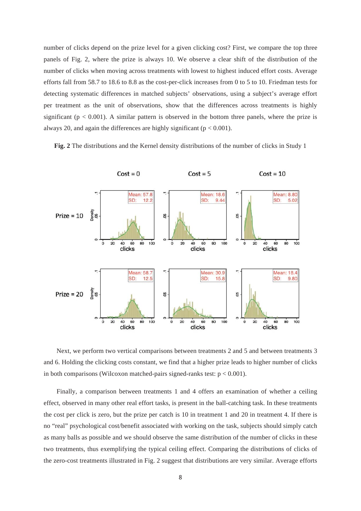number of clicks depend on the prize level for a given clicking cost? First, we compare the top three panels of Fig. 2, where the prize is always 10. We observe a clear shift of the distribution of the number of clicks when moving across treatments with lowest to highest induced effort costs. Average efforts fall from 58.7 to 18.6 to 8.8 as the cost-per-click increases from 0 to 5 to 10. Friedman tests for detecting systematic differences in matched subjects' observations, using a subject's average effort per treatment as the unit of observations, show that the differences across treatments is highly significant ( $p < 0.001$ ). A similar pattern is observed in the bottom three panels, where the prize is always 20, and again the differences are highly significant ( $p < 0.001$ ).

**Fig. 2** The distributions and the Kernel density distributions of the number of clicks in Study 1



Next, we perform two vertical comparisons between treatments 2 and 5 and between treatments 3 and 6. Holding the clicking costs constant, we find that a higher prize leads to higher number of clicks in both comparisons (Wilcoxon matched-pairs signed-ranks test:  $p < 0.001$ ).

Finally, a comparison between treatments 1 and 4 offers an examination of whether a ceiling effect, observed in many other real effort tasks, is present in the ball-catching task. In these treatments the cost per click is zero, but the prize per catch is 10 in treatment 1 and 20 in treatment 4. If there is no "real" psychological cost/benefit associated with working on the task, subjects should simply catch as many balls as possible and we should observe the same distribution of the number of clicks in these two treatments, thus exemplifying the typical ceiling effect. Comparing the distributions of clicks of the zero-cost treatments illustrated in Fig. 2 suggest that distributions are very similar. Average efforts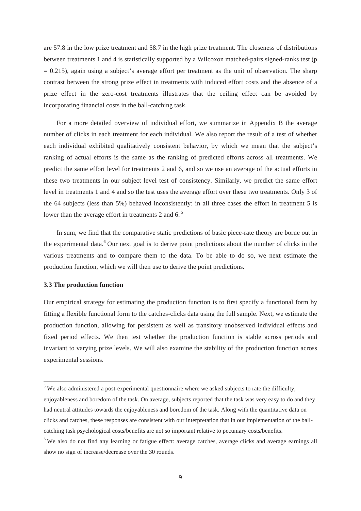are 57.8 in the low prize treatment and 58.7 in the high prize treatment. The closeness of distributions between treatments 1 and 4 is statistically supported by a Wilcoxon matched-pairs signed-ranks test (p  $= 0.215$ ), again using a subject's average effort per treatment as the unit of observation. The sharp contrast between the strong prize effect in treatments with induced effort costs and the absence of a prize effect in the zero-cost treatments illustrates that the ceiling effect can be avoided by incorporating financial costs in the ball-catching task.

For a more detailed overview of individual effort, we summarize in Appendix B the average number of clicks in each treatment for each individual. We also report the result of a test of whether each individual exhibited qualitatively consistent behavior, by which we mean that the subject's ranking of actual efforts is the same as the ranking of predicted efforts across all treatments. We predict the same effort level for treatments 2 and 6, and so we use an average of the actual efforts in these two treatments in our subject level test of consistency. Similarly, we predict the same effort level in treatments 1 and 4 and so the test uses the average effort over these two treatments. Only 3 of the 64 subjects (less than 5%) behaved inconsistently: in all three cases the effort in treatment 5 is lower than the average effort in treatments 2 and 6. $<sup>5</sup>$ </sup>

In sum, we find that the comparative static predictions of basic piece-rate theory are borne out in the experimental data.<sup>6</sup> Our next goal is to derive point predictions about the number of clicks in the various treatments and to compare them to the data. To be able to do so, we next estimate the production function, which we will then use to derive the point predictions.

#### **3.3 The production function**

<u> Andrew Maria (1989)</u>

Our empirical strategy for estimating the production function is to first specify a functional form by fitting a flexible functional form to the catches-clicks data using the full sample. Next, we estimate the production function, allowing for persistent as well as transitory unobserved individual effects and fixed period effects. We then test whether the production function is stable across periods and invariant to varying prize levels. We will also examine the stability of the production function across experimental sessions.

 $5$  We also administered a post-experimental questionnaire where we asked subjects to rate the difficulty, enjoyableness and boredom of the task. On average, subjects reported that the task was very easy to do and they had neutral attitudes towards the enjoyableness and boredom of the task. Along with the quantitative data on clicks and catches, these responses are consistent with our interpretation that in our implementation of the ballcatching task psychological costs/benefits are not so important relative to pecuniary costs/benefits.

<sup>&</sup>lt;sup>6</sup> We also do not find any learning or fatigue effect: average catches, average clicks and average earnings all show no sign of increase/decrease over the 30 rounds.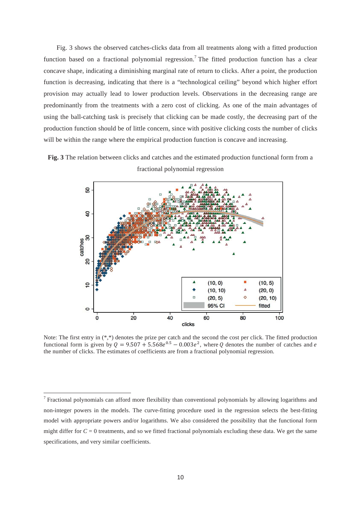Fig. 3 shows the observed catches-clicks data from all treatments along with a fitted production function based on a fractional polynomial regression.<sup>7</sup> The fitted production function has a clear concave shape, indicating a diminishing marginal rate of return to clicks. After a point, the production function is decreasing, indicating that there is a "technological ceiling" beyond which higher effort provision may actually lead to lower production levels. Observations in the decreasing range are predominantly from the treatments with a zero cost of clicking. As one of the main advantages of using the ball-catching task is precisely that clicking can be made costly, the decreasing part of the production function should be of little concern, since with positive clicking costs the number of clicks will be within the range where the empirical production function is concave and increasing.





Note: The first entry in (\*,\*) denotes the prize per catch and the second the cost per click. The fitted production functional form is given by  $Q = 9.507 + 5.568e^{0.5} - 0.003e^2$ , where Q denotes the number of catches and e the number of clicks. The estimates of coefficients are from a fractional polynomial regression.

<u> Andrew Maria (1989)</u>

 $<sup>7</sup>$  Fractional polynomials can afford more flexibility than conventional polynomials by allowing logarithms and</sup> non-integer powers in the models. The curve-fitting procedure used in the regression selects the best-fitting model with appropriate powers and/or logarithms. We also considered the possibility that the functional form might differ for  $C = 0$  treatments, and so we fitted fractional polynomials excluding these data. We get the same specifications, and very similar coefficients.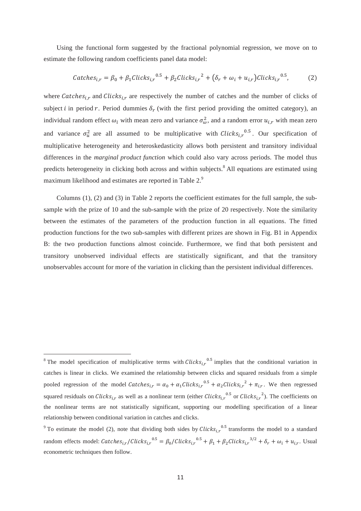Using the functional form suggested by the fractional polynomial regression, we move on to estimate the following random coefficients panel data model:

$$
Catches_{i,r} = \beta_0 + \beta_1 Clicks_{i,r}^{0.5} + \beta_2 Clicks_{i,r}^{2} + (\delta_r + \omega_i + u_{i,r}) Clicks_{i,r}^{0.5},
$$
 (2)

where Catches<sub>i,r</sub> and Clicks<sub>i,r</sub> are respectively the number of catches and the number of clicks of subject *i* in period r. Period dummies  $\delta_r$  (with the first period providing the omitted category), an individual random effect  $\omega_i$  with mean zero and variance  $\sigma_{\omega}^2$ , and a random error  $u_{i,r}$  with mean zero and variance  $\sigma_u^2$  are all assumed to be multiplicative with Clicks<sub>i,r</sub><sup>0.5</sup>. Our specification of multiplicative heterogeneity and heteroskedasticity allows both persistent and transitory individual differences in the *marginal product function* which could also vary across periods. The model thus predicts heterogeneity in clicking both across and within subjects.<sup>8</sup> All equations are estimated using maximum likelihood and estimates are reported in Table 2.<sup>9</sup>

Columns (1), (2) and (3) in Table 2 reports the coefficient estimates for the full sample, the subsample with the prize of 10 and the sub-sample with the prize of 20 respectively. Note the similarity between the estimates of the parameters of the production function in all equations. The fitted production functions for the two sub-samples with different prizes are shown in Fig. B1 in Appendix B: the two production functions almost coincide. Furthermore, we find that both persistent and transitory unobserved individual effects are statistically significant, and that the transitory unobservables account for more of the variation in clicking than the persistent individual differences.

<u> Andrew Maria (1989)</u>

<sup>&</sup>lt;sup>8</sup> The model specification of multiplicative terms with  $Clicks_{i,r}^{0.5}$  implies that the conditional variation in catches is linear in clicks. We examined the relationship between clicks and squared residuals from a simple pooled regression of the model Catches<sub>i,r</sub> =  $\alpha_0 + \alpha_1 Clicks_{i,r}^{0.5} + \alpha_2 Clicks_{i,r}^{2} + \pi_{i,r}$ . We then regressed squared residuals on Clicks<sub>i,r</sub> as well as a nonlinear term (either Clicks<sub>i,r</sub><sup>0.5</sup> or Clicks<sub>i,r</sub><sup>2</sup>). The coefficients on the nonlinear terms are not statistically significant, supporting our modelling specification of a linear relationship between conditional variation in catches and clicks.

<sup>&</sup>lt;sup>9</sup> To estimate the model (2), note that dividing both sides by *Clicks*<sub>i,</sub> <sup>0.5</sup> transforms the model to a standard random effects model: Catches<sub>i,r</sub>/Clicks<sub>i,r</sub><sup>0.5</sup> =  $\beta_0$ /Clicks<sub>i,r</sub><sup>0.5</sup> +  $\beta_1$  +  $\beta_2$ Clicks<sub>i,r</sub><sup>3/2</sup> +  $\delta_r$  +  $\omega_i$  +  $u_{i,r}$ . Usual econometric techniques then follow.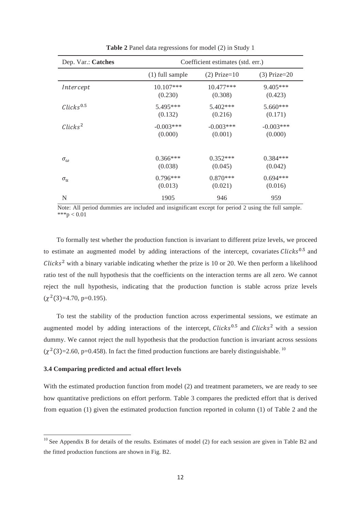| Dep. Var.: Catches               |                   | Coefficient estimates (std. err.) |                |
|----------------------------------|-------------------|-----------------------------------|----------------|
|                                  | $(1)$ full sample | $(2)$ Prize=10                    | $(3)$ Prize=20 |
| Intercept                        | 10.107***         | 10.477***                         | $9.405***$     |
|                                  | (0.230)           | (0.308)                           | (0.423)        |
| $\mathcal{C}licks^{0.5}$         | $5.495***$        | $5.402***$                        | 5.660***       |
|                                  | (0.132)           | (0.216)                           | (0.171)        |
| $\mathcal{C}$ licks <sup>2</sup> | $-0.003***$       | $-0.003***$                       | $-0.003***$    |
|                                  | (0.000)           | (0.001)                           | (0.000)        |
| $\sigma_{\omega}$                | $0.366***$        | $0.352***$                        | $0.384***$     |
|                                  | (0.038)           | (0.045)                           | (0.042)        |
| $\sigma_u$                       | $0.796***$        | $0.870***$                        | $0.694***$     |
|                                  | (0.013)           | (0.021)                           | (0.016)        |
| N                                | 1905              | 946                               | 959            |

**Table 2** Panel data regressions for model (2) in Study 1

Note: All period dummies are included and insignificant except for period 2 using the full sample. \*\*\*p  $< 0.01$ 

To formally test whether the production function is invariant to different prize levels, we proceed to estimate an augmented model by adding interactions of the intercept, covariates  $\mathcal{C}\text{licks}^{0.5}$  and  $Clicks<sup>2</sup>$  with a binary variable indicating whether the prize is 10 or 20. We then perform a likelihood ratio test of the null hypothesis that the coefficients on the interaction terms are all zero. We cannot reject the null hypothesis, indicating that the production function is stable across prize levels  $(\chi^2(3)=4.70, p=0.195).$ 

To test the stability of the production function across experimental sessions, we estimate an augmented model by adding interactions of the intercept,  $\mathcal{C}\text{licks}^{0.5}$  and  $\mathcal{C}\text{licks}^2$  with a session dummy. We cannot reject the null hypothesis that the production function is invariant across sessions  $(\chi^2(3)=2.60, p=0.458)$ . In fact the fitted production functions are barely distinguishable. <sup>10</sup>

# **3.4 Comparing predicted and actual effort levels**

<u> Andrew Maria (1989)</u>

With the estimated production function from model (2) and treatment parameters, we are ready to see how quantitative predictions on effort perform. Table 3 compares the predicted effort that is derived from equation (1) given the estimated production function reported in column (1) of Table 2 and the

 $10$  See Appendix B for details of the results. Estimates of model (2) for each session are given in Table B2 and the fitted production functions are shown in Fig. B2.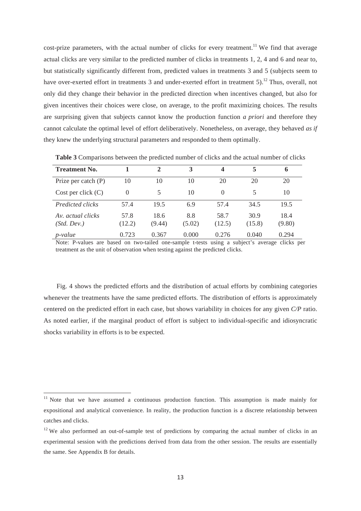cost-prize parameters, with the actual number of clicks for every treatment.<sup>11</sup> We find that average actual clicks are very similar to the predicted number of clicks in treatments 1, 2, 4 and 6 and near to, but statistically significantly different from, predicted values in treatments 3 and 5 (subjects seem to have over-exerted effort in treatments 3 and under-exerted effort in treatment 5).<sup>12</sup> Thus, overall, not only did they change their behavior in the predicted direction when incentives changed, but also for given incentives their choices were close, on average, to the profit maximizing choices. The results are surprising given that subjects cannot know the production function *a priori* and therefore they cannot calculate the optimal level of effort deliberatively. Nonetheless, on average, they behaved *as if* they knew the underlying structural parameters and responded to them optimally.

| <b>Treatment No.</b>             |                | $\mathcal{D}_{\mathcal{L}}$ | 3             | 4              | 5              | $\mathbf 0$    |
|----------------------------------|----------------|-----------------------------|---------------|----------------|----------------|----------------|
| Prize per catch $(P)$            | 10             | 10                          | 10            | 20             | 20             | 20             |
| Cost per click $(C)$             | 0              | 5                           | 10            | 0              |                | 10             |
| Predicted clicks                 | 57.4           | 19.5                        | 6.9           | 57.4           | 34.5           | 19.5           |
| Av. actual clicks<br>(Std. Dev.) | 57.8<br>(12.2) | 18.6<br>(9.44)              | 8.8<br>(5.02) | 58.7<br>(12.5) | 30.9<br>(15.8) | 18.4<br>(9.80) |
| $p$ -value                       | 0.723          | 0.367                       | 0.000         | 0.276          | 0.040          | 0.294          |

**Table 3** Comparisons between the predicted number of clicks and the actual number of clicks

Note: P-values are based on two-tailed one-sample t-tests using a subject's average clicks per treatment as the unit of observation when testing against the predicted clicks.

Fig. 4 shows the predicted efforts and the distribution of actual efforts by combining categories whenever the treatments have the same predicted efforts. The distribution of efforts is approximately centered on the predicted effort in each case, but shows variability in choices for any given *C/P* ratio. As noted earlier, if the marginal product of effort is subject to individual-specific and idiosyncratic shocks variability in efforts is to be expected.

<u> Andrew Maria (1989)</u>

<sup>&</sup>lt;sup>11</sup> Note that we have assumed a continuous production function. This assumption is made mainly for expositional and analytical convenience. In reality, the production function is a discrete relationship between catches and clicks.

 $12$  We also performed an out-of-sample test of predictions by comparing the actual number of clicks in an experimental session with the predictions derived from data from the other session. The results are essentially the same. See Appendix B for details.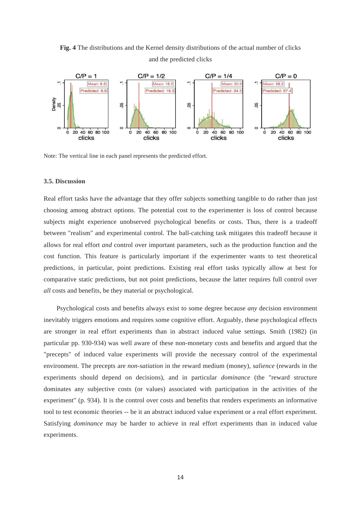**Fig. 4** The distributions and the Kernel density distributions of the actual number of clicks and the predicted clicks



Note: The vertical line in each panel represents the predicted effort.

#### **3.5. Discussion**

Real effort tasks have the advantage that they offer subjects something tangible to do rather than just choosing among abstract options. The potential cost to the experimenter is loss of control because subjects might experience unobserved psychological benefits or costs. Thus, there is a tradeoff between "realism" and experimental control. The ball-catching task mitigates this tradeoff because it allows for real effort *and* control over important parameters, such as the production function and the cost function. This feature is particularly important if the experimenter wants to test theoretical predictions, in particular, point predictions. Existing real effort tasks typically allow at best for comparative static predictions, but not point predictions, because the latter requires full control over *all* costs and benefits, be they material or psychological.

Psychological costs and benefits always exist to some degree because *any* decision environment inevitably triggers emotions and requires some cognitive effort. Arguably, these psychological effects are stronger in real effort experiments than in abstract induced value settings. Smith (1982) (in particular pp. 930-934) was well aware of these non-monetary costs and benefits and argued that the "precepts" of induced value experiments will provide the necessary control of the experimental environment. The precepts are *non-satiation* in the reward medium (money), *salience* (rewards in the experiments should depend on decisions), and in particular *dominance* (the "reward structure dominates any subjective costs (or values) associated with participation in the activities of the experiment" (p. 934). It is the control over costs and benefits that renders experiments an informative tool to test economic theories -- be it an abstract induced value experiment or a real effort experiment. Satisfying *dominance* may be harder to achieve in real effort experiments than in induced value experiments.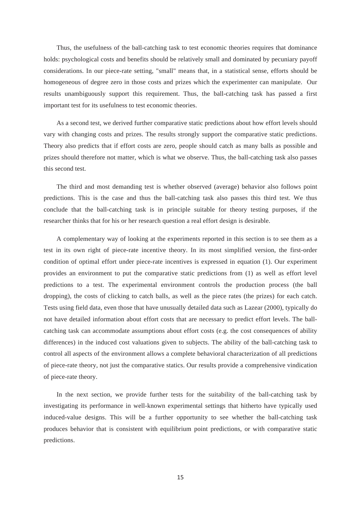Thus, the usefulness of the ball-catching task to test economic theories requires that dominance holds: psychological costs and benefits should be relatively small and dominated by pecuniary payoff considerations. In our piece-rate setting, "small" means that, in a statistical sense, efforts should be homogeneous of degree zero in those costs and prizes which the experimenter can manipulate. Our results unambiguously support this requirement. Thus, the ball-catching task has passed a first important test for its usefulness to test economic theories.

As a second test, we derived further comparative static predictions about how effort levels should vary with changing costs and prizes. The results strongly support the comparative static predictions. Theory also predicts that if effort costs are zero, people should catch as many balls as possible and prizes should therefore not matter, which is what we observe. Thus, the ball-catching task also passes this second test.

The third and most demanding test is whether observed (average) behavior also follows point predictions. This is the case and thus the ball-catching task also passes this third test. We thus conclude that the ball-catching task is in principle suitable for theory testing purposes, if the researcher thinks that for his or her research question a real effort design is desirable.

A complementary way of looking at the experiments reported in this section is to see them as a test in its own right of piece-rate incentive theory. In its most simplified version, the first-order condition of optimal effort under piece-rate incentives is expressed in equation (1). Our experiment provides an environment to put the comparative static predictions from (1) as well as effort level predictions to a test. The experimental environment controls the production process (the ball dropping), the costs of clicking to catch balls, as well as the piece rates (the prizes) for each catch. Tests using field data, even those that have unusually detailed data such as Lazear (2000), typically do not have detailed information about effort costs that are necessary to predict effort levels. The ballcatching task can accommodate assumptions about effort costs (e.g. the cost consequences of ability differences) in the induced cost valuations given to subjects. The ability of the ball-catching task to control all aspects of the environment allows a complete behavioral characterization of all predictions of piece-rate theory, not just the comparative statics. Our results provide a comprehensive vindication of piece-rate theory.

In the next section, we provide further tests for the suitability of the ball-catching task by investigating its performance in well-known experimental settings that hitherto have typically used induced-value designs. This will be a further opportunity to see whether the ball-catching task produces behavior that is consistent with equilibrium point predictions, or with comparative static predictions.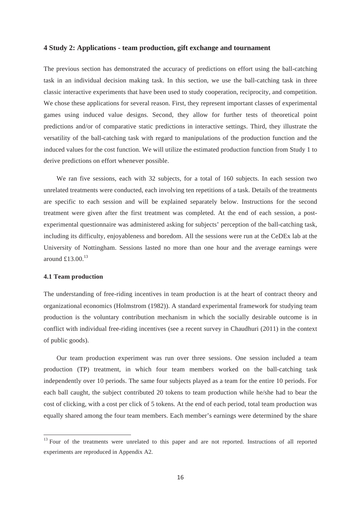### **4 Study 2: Applications - team production, gift exchange and tournament**

The previous section has demonstrated the accuracy of predictions on effort using the ball-catching task in an individual decision making task. In this section, we use the ball-catching task in three classic interactive experiments that have been used to study cooperation, reciprocity, and competition. We chose these applications for several reason. First, they represent important classes of experimental games using induced value designs. Second, they allow for further tests of theoretical point predictions and/or of comparative static predictions in interactive settings. Third, they illustrate the versatility of the ball-catching task with regard to manipulations of the production function and the induced values for the cost function. We will utilize the estimated production function from Study 1 to derive predictions on effort whenever possible.

We ran five sessions, each with 32 subjects, for a total of 160 subjects. In each session two unrelated treatments were conducted, each involving ten repetitions of a task. Details of the treatments are specific to each session and will be explained separately below. Instructions for the second treatment were given after the first treatment was completed. At the end of each session, a postexperimental questionnaire was administered asking for subjects' perception of the ball-catching task, including its difficulty, enjoyableness and boredom. All the sessions were run at the CeDEx lab at the University of Nottingham. Sessions lasted no more than one hour and the average earnings were around  $f$  13.00<sup>13</sup>

#### **4.1 Team production**

<u> Andrew Maria (1989)</u>

The understanding of free-riding incentives in team production is at the heart of contract theory and organizational economics (Holmstrom (1982)). A standard experimental framework for studying team production is the voluntary contribution mechanism in which the socially desirable outcome is in conflict with individual free-riding incentives (see a recent survey in Chaudhuri (2011) in the context of public goods).

Our team production experiment was run over three sessions. One session included a team production (TP) treatment, in which four team members worked on the ball-catching task independently over 10 periods. The same four subjects played as a team for the entire 10 periods. For each ball caught, the subject contributed 20 tokens to team production while he/she had to bear the cost of clicking, with a cost per click of 5 tokens. At the end of each period, total team production was equally shared among the four team members. Each member's earnings were determined by the share

<sup>&</sup>lt;sup>13</sup> Four of the treatments were unrelated to this paper and are not reported. Instructions of all reported experiments are reproduced in Appendix A2.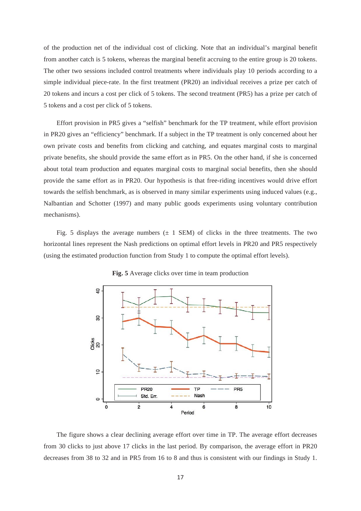of the production net of the individual cost of clicking. Note that an individual's marginal benefit from another catch is 5 tokens, whereas the marginal benefit accruing to the entire group is 20 tokens. The other two sessions included control treatments where individuals play 10 periods according to a simple individual piece-rate. In the first treatment (PR20) an individual receives a prize per catch of 20 tokens and incurs a cost per click of 5 tokens. The second treatment (PR5) has a prize per catch of 5 tokens and a cost per click of 5 tokens.

Effort provision in PR5 gives a "selfish" benchmark for the TP treatment, while effort provision in PR20 gives an "efficiency" benchmark. If a subject in the TP treatment is only concerned about her own private costs and benefits from clicking and catching, and equates marginal costs to marginal private benefits, she should provide the same effort as in PR5. On the other hand, if she is concerned about total team production and equates marginal costs to marginal social benefits, then she should provide the same effort as in PR20. Our hypothesis is that free-riding incentives would drive effort towards the selfish benchmark, as is observed in many similar experiments using induced values (e.g., Nalbantian and Schotter (1997) and many public goods experiments using voluntary contribution mechanisms).

Fig. 5 displays the average numbers  $(\pm 1$  SEM) of clicks in the three treatments. The two horizontal lines represent the Nash predictions on optimal effort levels in PR20 and PR5 respectively (using the estimated production function from Study 1 to compute the optimal effort levels).



**Fig. 5** Average clicks over time in team production

The figure shows a clear declining average effort over time in TP. The average effort decreases from 30 clicks to just above 17 clicks in the last period. By comparison, the average effort in PR20 decreases from 38 to 32 and in PR5 from 16 to 8 and thus is consistent with our findings in Study 1.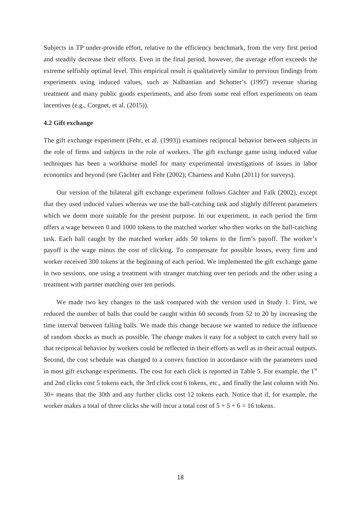Subjects in TP under-provide effort, relative to the efficiency benchmark, from the very first period and steadily decrease their efforts. Even in the final period, however, the average effort exceeds the extreme selfishly optimal level. This empirical result is qualitatively similar to previous findings from experiments using induced values, such as Nalbantian and Schotter's (1997) revenue sharing treatment and many public goods experiments, and also from some real effort experiments on team incentives (e.g., Corgnet, et al. (2015)).

# **4.2 Gift exchange**

The gift exchange experiment (Fehr, et al. (1993)) examines reciprocal behavior between subjects in the role of firms and subjects in the role of workers. The gift exchange game using induced value techniques has been a workhorse model for many experimental investigations of issues in labor economics and beyond (see Gächter and Fehr (2002); Charness and Kuhn (2011) for surveys).

Our version of the bilateral gift exchange experiment follows Gächter and Falk (2002), except that they used induced values whereas we use the ball-catching task and slightly different parameters which we deem more suitable for the present purpose. In our experiment, in each period the firm offers a wage between 0 and 1000 tokens to the matched worker who then works on the ball-catching task. Each ball caught by the matched worker adds 50 tokens to the firm's payoff. The worker's payoff is the wage minus the cost of clicking. To compensate for possible losses, every firm and worker received 300 tokens at the beginning of each period. We implemented the gift exchange game in two sessions, one using a treatment with stranger matching over ten periods and the other using a treatment with partner matching over ten periods.

We made two key changes to the task compared with the version used in Study 1. First, we reduced the number of balls that could be caught within 60 seconds from 52 to 20 by increasing the time interval between falling balls. We made this change because we wanted to reduce the influence of random shocks as much as possible. The change makes it easy for a subject to catch every ball so that reciprocal behavior by workers could be reflected in their efforts as well as in their actual outputs. Second, the cost schedule was changed to a convex function in accordance with the parameters used in most gift exchange experiments. The cost for each click is reported in Table 5. For example, the  $1<sup>st</sup>$ and 2nd clicks cost 5 tokens each, the 3rd click cost 6 tokens, etc., and finally the last column with No. 30+ means that the 30th and any further clicks cost 12 tokens each. Notice that if, for example, the worker makes a total of three clicks she will incur a total cost of  $5 + 5 + 6 = 16$  tokens.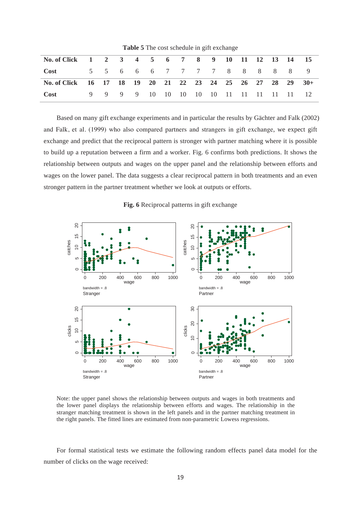| No. of Click 1 2 3 4 5 6 7 8 9 10 11 12 13 14 15           |  |  |  |  |  |  |  |  |
|------------------------------------------------------------|--|--|--|--|--|--|--|--|
| Cost 5 5 6 6 6 7 7 7 7 8 8 8 8 8 9                         |  |  |  |  |  |  |  |  |
| No. of Click 16 17 18 19 20 21 22 23 24 25 26 27 28 29 30+ |  |  |  |  |  |  |  |  |
| <b>Cost</b> 9 9 9 9 10 10 10 10 10 11 11 11 11 11 12       |  |  |  |  |  |  |  |  |

**Table 5** The cost schedule in gift exchange

Based on many gift exchange experiments and in particular the results by Gächter and Falk (2002) and Falk, et al. (1999) who also compared partners and strangers in gift exchange, we expect gift exchange and predict that the reciprocal pattern is stronger with partner matching where it is possible to build up a reputation between a firm and a worker. Fig. 6 confirms both predictions. It shows the relationship between outputs and wages on the upper panel and the relationship between efforts and wages on the lower panel. The data suggests a clear reciprocal pattern in both treatments and an even stronger pattern in the partner treatment whether we look at outputs or efforts.

**Fig. 6** Reciprocal patterns in gift exchange



Note: the upper panel shows the relationship between outputs and wages in both treatments and the lower panel displays the relationship between efforts and wages. The relationship in the stranger matching treatment is shown in the left panels and in the partner matching treatment in the right panels. The fitted lines are estimated from non-parametric Lowess regressions.

For formal statistical tests we estimate the following random effects panel data model for the number of clicks on the wage received: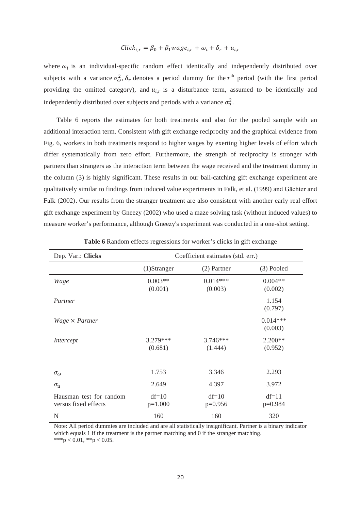# $Click_{i,r} = \beta_0 + \beta_1 wage_{i,r} + \omega_i + \delta_r + u_{i,r}$

where  $\omega_i$  is an individual-specific random effect identically and independently distributed over subjects with a variance  $\sigma_{\omega}^2$ ,  $\delta_r$  denotes a period dummy for the  $r^{\text{th}}$  period (with the first period providing the omitted category), and  $u_{i,r}$  is a disturbance term, assumed to be identically and independently distributed over subjects and periods with a variance  $\sigma_u^2$ .

Table 6 reports the estimates for both treatments and also for the pooled sample with an additional interaction term. Consistent with gift exchange reciprocity and the graphical evidence from Fig. 6, workers in both treatments respond to higher wages by exerting higher levels of effort which differ systematically from zero effort. Furthermore, the strength of reciprocity is stronger with partners than strangers as the interaction term between the wage received and the treatment dummy in the column (3) is highly significant. These results in our ball-catching gift exchange experiment are qualitatively similar to findings from induced value experiments in Falk, et al. (1999) and Gächter and Falk (2002). Our results from the stranger treatment are also consistent with another early real effort gift exchange experiment by Gneezy (2002) who used a maze solving task (without induced values) to measure worker's performance, although Gneezy's experiment was conducted in a one-shot setting.

| Dep. Var.: Clicks                               |                       | Coefficient estimates (std. err.) |                       |
|-------------------------------------------------|-----------------------|-----------------------------------|-----------------------|
|                                                 | $(1)$ Stranger        | (2) Partner                       | $(3)$ Pooled          |
| Wage                                            | $0.003**$<br>(0.001)  | $0.014***$<br>(0.003)             | $0.004**$<br>(0.002)  |
| Partner                                         |                       |                                   | 1.154<br>(0.797)      |
| $Wage \times Partner$                           |                       |                                   | $0.014***$<br>(0.003) |
| Intercept                                       | $3.279***$<br>(0.681) | $3.746***$<br>(1.444)             | $2.200**$<br>(0.952)  |
| $\sigma_{\omega}$                               | 1.753                 | 3.346                             | 2.293                 |
| $\sigma_u$                                      | 2.649                 | 4.397                             | 3.972                 |
| Hausman test for random<br>versus fixed effects | $df=10$<br>$p=1.000$  | $df=10$<br>$p=0.956$              | $df=11$<br>$p=0.984$  |
| N                                               | 160                   | 160                               | 320                   |

|  | Table 6 Random effects regressions for worker's clicks in gift exchange |  |  |  |
|--|-------------------------------------------------------------------------|--|--|--|
|  |                                                                         |  |  |  |

Note: All period dummies are included and are all statistically insignificant. Partner is a binary indicator which equals 1 if the treatment is the partner matching and 0 if the stranger matching. \*\*\*p < 0.01, \*\*p < 0.05.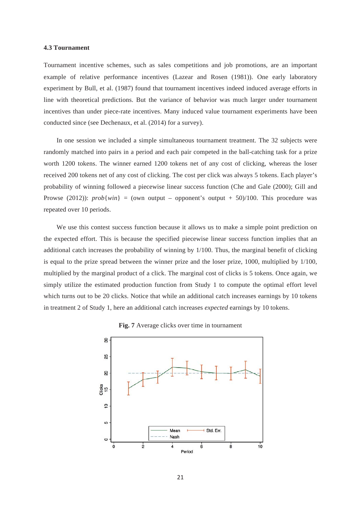#### **4.3 Tournament**

Tournament incentive schemes, such as sales competitions and job promotions, are an important example of relative performance incentives (Lazear and Rosen (1981)). One early laboratory experiment by Bull, et al. (1987) found that tournament incentives indeed induced average efforts in line with theoretical predictions. But the variance of behavior was much larger under tournament incentives than under piece-rate incentives. Many induced value tournament experiments have been conducted since (see Dechenaux, et al. (2014) for a survey).

In one session we included a simple simultaneous tournament treatment. The 32 subjects were randomly matched into pairs in a period and each pair competed in the ball-catching task for a prize worth 1200 tokens. The winner earned 1200 tokens net of any cost of clicking, whereas the loser received 200 tokens net of any cost of clicking. The cost per click was always 5 tokens. Each player's probability of winning followed a piecewise linear success function (Che and Gale (2000); Gill and Prowse (2012)):  $prob\{win\} = (own output - opponent's output + 50)/100$ . This procedure was repeated over 10 periods.

We use this contest success function because it allows us to make a simple point prediction on the expected effort. This is because the specified piecewise linear success function implies that an additional catch increases the probability of winning by 1/100. Thus, the marginal benefit of clicking is equal to the prize spread between the winner prize and the loser prize, 1000, multiplied by 1/100, multiplied by the marginal product of a click. The marginal cost of clicks is 5 tokens. Once again, we simply utilize the estimated production function from Study 1 to compute the optimal effort level which turns out to be 20 clicks. Notice that while an additional catch increases earnings by 10 tokens in treatment 2 of Study 1, here an additional catch increases *expected* earnings by 10 tokens.



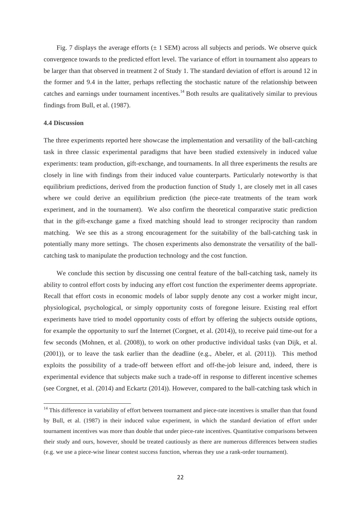Fig. 7 displays the average efforts  $(\pm 1$  SEM) across all subjects and periods. We observe quick convergence towards to the predicted effort level. The variance of effort in tournament also appears to be larger than that observed in treatment 2 of Study 1. The standard deviation of effort is around 12 in the former and 9.4 in the latter, perhaps reflecting the stochastic nature of the relationship between catches and earnings under tournament incentives.<sup>14</sup> Both results are qualitatively similar to previous findings from Bull, et al. (1987).

# **4.4 Discussion**

<u> Andrew Maria (1989)</u>

The three experiments reported here showcase the implementation and versatility of the ball-catching task in three classic experimental paradigms that have been studied extensively in induced value experiments: team production, gift-exchange, and tournaments. In all three experiments the results are closely in line with findings from their induced value counterparts. Particularly noteworthy is that equilibrium predictions, derived from the production function of Study 1, are closely met in all cases where we could derive an equilibrium prediction (the piece-rate treatments of the team work experiment, and in the tournament). We also confirm the theoretical comparative static prediction that in the gift-exchange game a fixed matching should lead to stronger reciprocity than random matching. We see this as a strong encouragement for the suitability of the ball-catching task in potentially many more settings. The chosen experiments also demonstrate the versatility of the ballcatching task to manipulate the production technology and the cost function.

We conclude this section by discussing one central feature of the ball-catching task, namely its ability to control effort costs by inducing any effort cost function the experimenter deems appropriate. Recall that effort costs in economic models of labor supply denote any cost a worker might incur, physiological, psychological, or simply opportunity costs of foregone leisure. Existing real effort experiments have tried to model opportunity costs of effort by offering the subjects outside options, for example the opportunity to surf the Internet (Corgnet, et al. (2014)), to receive paid time-out for a few seconds (Mohnen, et al. (2008)), to work on other productive individual tasks (van Dijk, et al. (2001)), or to leave the task earlier than the deadline (e.g., Abeler, et al. (2011)). This method exploits the possibility of a trade-off between effort and off-the-job leisure and, indeed, there is experimental evidence that subjects make such a trade-off in response to different incentive schemes (see Corgnet, et al. (2014) and Eckartz (2014)). However, compared to the ball-catching task which in

 $14$  This difference in variability of effort between tournament and piece-rate incentives is smaller than that found by Bull, et al. (1987) in their induced value experiment, in which the standard deviation of effort under tournament incentives was more than double that under piece-rate incentives. Quantitative comparisons between their study and ours, however, should be treated cautiously as there are numerous differences between studies (e.g. we use a piece-wise linear contest success function, whereas they use a rank-order tournament).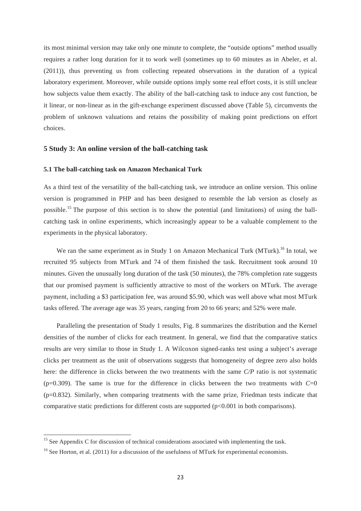its most minimal version may take only one minute to complete, the "outside options" method usually requires a rather long duration for it to work well (sometimes up to 60 minutes as in Abeler, et al. (2011)), thus preventing us from collecting repeated observations in the duration of a typical laboratory experiment. Moreover, while outside options imply some real effort costs, it is still unclear how subjects value them exactly. The ability of the ball-catching task to induce any cost function, be it linear, or non-linear as in the gift-exchange experiment discussed above (Table 5), circumvents the problem of unknown valuations and retains the possibility of making point predictions on effort choices.

# **5 Study 3: An online version of the ball-catching task**

# **5.1 The ball-catching task on Amazon Mechanical Turk**

As a third test of the versatility of the ball-catching task, we introduce an online version. This online version is programmed in PHP and has been designed to resemble the lab version as closely as possible.15 The purpose of this section is to show the potential (and limitations) of using the ballcatching task in online experiments, which increasingly appear to be a valuable complement to the experiments in the physical laboratory.

We ran the same experiment as in Study 1 on Amazon Mechanical Turk (MTurk).<sup>16</sup> In total, we recruited 95 subjects from MTurk and 74 of them finished the task. Recruitment took around 10 minutes. Given the unusually long duration of the task (50 minutes), the 78% completion rate suggests that our promised payment is sufficiently attractive to most of the workers on MTurk. The average payment, including a \$3 participation fee, was around \$5.90, which was well above what most MTurk tasks offered. The average age was 35 years, ranging from 20 to 66 years; and 52% were male.

Paralleling the presentation of Study 1 results, Fig. 8 summarizes the distribution and the Kernel densities of the number of clicks for each treatment. In general, we find that the comparative statics results are very similar to those in Study 1. A Wilcoxon signed-ranks test using a subject's average clicks per treatment as the unit of observations suggests that homogeneity of degree zero also holds here: the difference in clicks between the two treatments with the same *C/P* ratio is not systematic ( $p=0.309$ ). The same is true for the difference in clicks between the two treatments with  $C=0$ (p=0.832). Similarly, when comparing treatments with the same prize, Friedman tests indicate that comparative static predictions for different costs are supported  $(p<0.001$  in both comparisons).

<u> Andrew Maria (1995)</u>

 $15$  See Appendix C for discussion of technical considerations associated with implementing the task.

<sup>&</sup>lt;sup>16</sup> See Horton, et al. (2011) for a discussion of the usefulness of MTurk for experimental economists.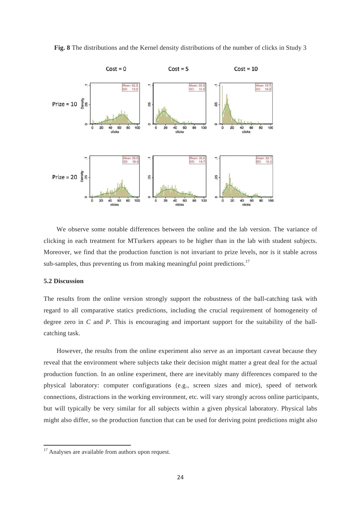

**Fig. 8** The distributions and the Kernel density distributions of the number of clicks in Study 3

We observe some notable differences between the online and the lab version. The variance of clicking in each treatment for MTurkers appears to be higher than in the lab with student subjects. Moreover, we find that the production function is not invariant to prize levels, nor is it stable across sub-samples, thus preventing us from making meaningful point predictions.<sup>17</sup>

#### **5.2 Discussion**

The results from the online version strongly support the robustness of the ball-catching task with regard to all comparative statics predictions, including the crucial requirement of homogeneity of degree zero in *C* and *P*. This is encouraging and important support for the suitability of the ballcatching task.

However, the results from the online experiment also serve as an important caveat because they reveal that the environment where subjects take their decision might matter a great deal for the actual production function. In an online experiment, there are inevitably many differences compared to the physical laboratory: computer configurations (e.g., screen sizes and mice), speed of network connections, distractions in the working environment, etc. will vary strongly across online participants, but will typically be very similar for all subjects within a given physical laboratory. Physical labs might also differ, so the production function that can be used for deriving point predictions might also

<u> Andrew Maria (1995)</u>

 $17$  Analyses are available from authors upon request.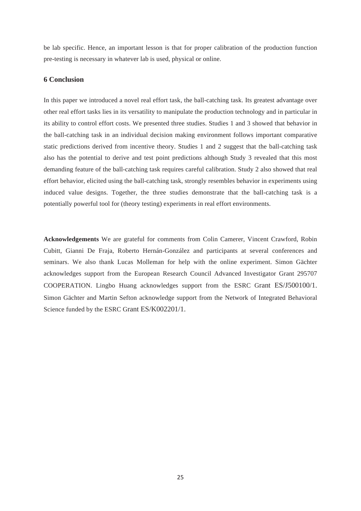be lab specific. Hence, an important lesson is that for proper calibration of the production function pre-testing is necessary in whatever lab is used, physical or online.

### **6 Conclusion**

In this paper we introduced a novel real effort task, the ball-catching task. Its greatest advantage over other real effort tasks lies in its versatility to manipulate the production technology and in particular in its ability to control effort costs. We presented three studies. Studies 1 and 3 showed that behavior in the ball-catching task in an individual decision making environment follows important comparative static predictions derived from incentive theory. Studies 1 and 2 suggest that the ball-catching task also has the potential to derive and test point predictions although Study 3 revealed that this most demanding feature of the ball-catching task requires careful calibration. Study 2 also showed that real effort behavior, elicited using the ball-catching task, strongly resembles behavior in experiments using induced value designs. Together, the three studies demonstrate that the ball-catching task is a potentially powerful tool for (theory testing) experiments in real effort environments.

**Acknowledgements** We are grateful for comments from Colin Camerer, Vincent Crawford, Robin Cubitt, Gianni De Fraja, Roberto Hernán-González and participants at several conferences and seminars. We also thank Lucas Molleman for help with the online experiment. Simon Gächter acknowledges support from the European Research Council Advanced Investigator Grant 295707 COOPERATION. Lingbo Huang acknowledges support from the ESRC Grant ES/J500100/1. Simon Gächter and Martin Sefton acknowledge support from the Network of Integrated Behavioral Science funded by the ESRC Grant ES/K002201/1.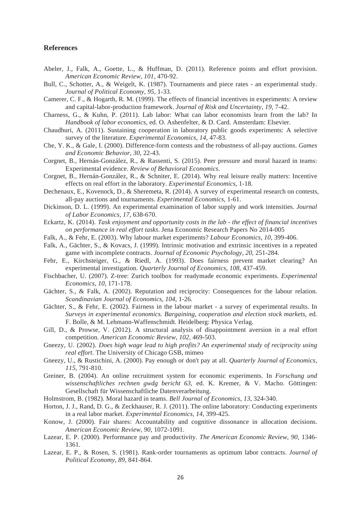# **References**

- Abeler, J., Falk, A., Goette, L., & Huffman, D. (2011). Reference points and effort provision. *American Economic Review*, *101*, 470-92.
- Bull, C., Schotter, A., & Weigelt, K. (1987). Tournaments and piece rates an experimental study. *Journal of Political Economy*, *95*, 1-33.
- Camerer, C. F., & Hogarth, R. M. (1999). The effects of financial incentives in experiments: A review and capital-labor-production framework. *Journal of Risk and Uncertainty*, *19*, 7-42.
- Charness, G., & Kuhn, P. (2011). Lab labor: What can labor economists learn from the lab? In *Handbook of labor economics*, ed. O. Ashenfelter, & D. Card. Amsterdam: Elsevier.
- Chaudhuri, A. (2011). Sustaining cooperation in laboratory public goods experiments: A selective survey of the literature. *Experimental Economics*, *14*, 47-83.
- Che, Y. K., & Gale, I. (2000). Difference-form contests and the robustness of all-pay auctions. *Games and Economic Behavior*, *30*, 22-43.
- Corgnet, B., Hernán-González, R., & Rassenti, S. (2015). Peer pressure and moral hazard in teams: Experimental evidence. *Review of Behavioral Economics*.
- Corgnet, B., Hernán-González, R., & Schniter, E. (2014). Why real leisure really matters: Incentive effects on real effort in the laboratory. *Experimental Economics*, 1-18.
- Dechenaux, E., Kovenock, D., & Sheremeta, R. (2014). A survey of experimental research on contests, all-pay auctions and tournaments. *Experimental Economics*, 1-61.
- Dickinson, D. L. (1999). An experimental examination of labor supply and work intensities. *Journal of Labor Economics*, *17*, 638-670.
- Eckartz, K. (2014). *Task enjoyment and opportunity costs in the lab the effect of financial incentives on performance in real effort tasks*. Jena Economic Research Papers No 2014-005
- Falk, A., & Fehr, E. (2003). Why labour market experiments? *Labour Economics*, *10*, 399-406.
- Falk, A., Gächter, S., & Kovacs, J. (1999). Intrinsic motivation and extrinsic incentives in a repeated game with incomplete contracts. *Journal of Economic Psychology*, *20*, 251-284.
- Fehr, E., Kirchsteiger, G., & Riedl, A. (1993). Does fairness prevent market clearing? An experimental investigation. *Quarterly Journal of Economics*, *108*, 437-459.
- Fischbacher, U. (2007). Z-tree: Zurich toolbox for readymade economic experiments. *Experimental Economics*, *10*, 171-178.
- Gächter, S., & Falk, A. (2002). Reputation and reciprocity: Consequences for the labour relation. *Scandinavian Journal of Economics*, *104*, 1-26.
- Gächter, S., & Fehr, E. (2002). Fairness in the labour market a survey of experimental results. In *Surveys in experimental economics. Bargaining, cooperation and election stock markets*, ed. F. Bolle, & M. Lehmann-Waffenschmidt. Heidelberg: Physica Verlag.
- Gill, D., & Prowse, V. (2012). A structural analysis of disappointment aversion in a real effort competition. *American Economic Review*, *102*, 469-503.
- Gneezy, U. (2002). *Does high wage lead to high profits? An experimental study of reciprocity using real effort*. The University of Chicago GSB, mimeo
- Gneezy, U., & Rustichini, A. (2000). Pay enough or don't pay at all. *Quarterly Journal of Economics*, *115*, 791-810.
- Greiner, B. (2004). An online recruitment system for economic experiments. In *Forschung und wissenschaftliches rechnen gwdg bericht 63*, ed. K. Kremer, & V. Macho. Göttingen: Gesellschaft für Wissenschaftliche Datenverarbeitung.
- Holmstrom, B. (1982). Moral hazard in teams. *Bell Journal of Economics*, *13*, 324-340.
- Horton, J. J., Rand, D. G., & Zeckhauser, R. J. (2011). The online laboratory: Conducting experiments in a real labor market. *Experimental Economics*, *14*, 399-425.
- Konow, J. (2000). Fair shares: Accountability and cognitive dissonance in allocation decisions. *American Economic Review*, *90*, 1072-1091.
- Lazear, E. P. (2000). Performance pay and productivity. *The American Economic Review*, *90*, 1346- 1361.
- Lazear, E. P., & Rosen, S. (1981). Rank-order tournaments as optimum labor contracts. *Journal of Political Economy*, *89*, 841-864.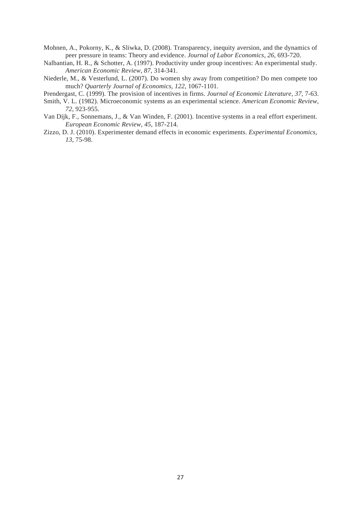- Mohnen, A., Pokorny, K., & Sliwka, D. (2008). Transparency, inequity aversion, and the dynamics of peer pressure in teams: Theory and evidence. *Journal of Labor Economics*, *26*, 693-720.
- Nalbantian, H. R., & Schotter, A. (1997). Productivity under group incentives: An experimental study. *American Economic Review*, *87*, 314-341.
- Niederle, M., & Vesterlund, L. (2007). Do women shy away from competition? Do men compete too much? *Quarterly Journal of Economics*, *122*, 1067-1101.
- Prendergast, C. (1999). The provision of incentives in firms. *Journal of Economic Literature*, *37*, 7-63.
- Smith, V. L. (1982). Microeconomic systems as an experimental science. *American Economic Review*, *72*, 923-955.
- Van Dijk, F., Sonnemans, J., & Van Winden, F. (2001). Incentive systems in a real effort experiment. *European Economic Review*, *45*, 187-214.
- Zizzo, D. J. (2010). Experimenter demand effects in economic experiments. *Experimental Economics*, *13*, 75-98.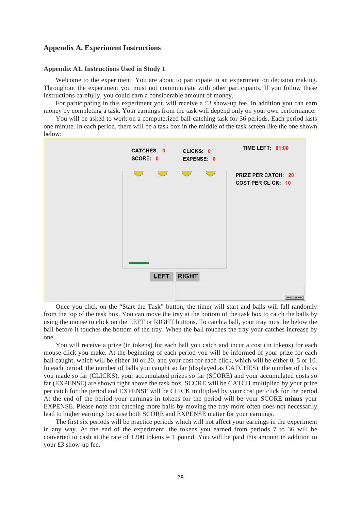# **Appendix A. Experiment Instructions**

#### **Appendix A1. Instructions Used in Study 1**

Welcome to the experiment. You are about to participate in an experiment on decision making. Throughout the experiment you must not communicate with other participants. If you follow these instructions carefully, you could earn a considerable amount of money.

For participating in this experiment you will receive a £3 show-up fee. In addition you can earn money by completing a task. Your earnings from the task will depend only on your own performance.

You will be asked to work on a computerized ball-catching task for 36 periods. Each period lasts one minute. In each period, there will be a task box in the middle of the task screen like the one shown below:



Once you click on the "Start the Task" button, the timer will start and balls will fall randomly from the top of the task box. You can move the tray at the bottom of the task box to catch the balls by using the mouse to click on the LEFT or RIGHT buttons. To catch a ball, your tray must be below the ball before it touches the bottom of the tray. When the ball touches the tray your catches increase by one.

You will receive a prize (in tokens) for each ball you catch and incur a cost (in tokens) for each mouse click you make. At the beginning of each period you will be informed of your prize for each ball caught, which will be either 10 or 20, and your cost for each click, which will be either 0, 5 or 10. In each period, the number of balls you caught so far (displayed as CATCHES), the number of clicks you made so far (CLICKS), your accumulated prizes so far (SCORE) and your accumulated costs so far (EXPENSE) are shown right above the task box. SCORE will be CATCH multiplied by your prize per catch for the period and EXPENSE will be CLICK multiplied by your cost per click for the period. At the end of the period your earnings in tokens for the period will be your SCORE **minus** your EXPENSE. Please note that catching more balls by moving the tray more often does not necessarily lead to higher earnings because both SCORE and EXPENSE matter for your earnings.

The first six periods will be practice periods which will not affect your earnings in the experiment in any way. At the end of the experiment, the tokens you earned from periods 7 to 36 will be converted to cash at the rate of  $1200$  tokens = 1 pound. You will be paid this amount in addition to your £3 show-up fee.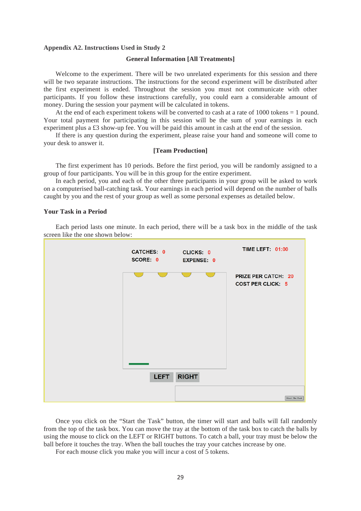#### **Appendix A2. Instructions Used in Study 2**

#### **General Information [All Treatments]**

Welcome to the experiment. There will be two unrelated experiments for this session and there will be two separate instructions. The instructions for the second experiment will be distributed after the first experiment is ended. Throughout the session you must not communicate with other participants. If you follow these instructions carefully, you could earn a considerable amount of money. During the session your payment will be calculated in tokens.

At the end of each experiment tokens will be converted to cash at a rate of 1000 tokens = 1 pound. Your total payment for participating in this session will be the sum of your earnings in each experiment plus a £3 show-up fee. You will be paid this amount in cash at the end of the session.

If there is any question during the experiment, please raise your hand and someone will come to your desk to answer it.

### **[Team Production]**

The first experiment has 10 periods. Before the first period, you will be randomly assigned to a group of four participants. You will be in this group for the entire experiment.

In each period, you and each of the other three participants in your group will be asked to work on a computerised ball-catching task. Your earnings in each period will depend on the number of balls caught by you and the rest of your group as well as some personal expenses as detailed below.

# **Your Task in a Period**

Each period lasts one minute. In each period, there will be a task box in the middle of the task screen like the one shown below:



Once you click on the "Start the Task" button, the timer will start and balls will fall randomly from the top of the task box. You can move the tray at the bottom of the task box to catch the balls by using the mouse to click on the LEFT or RIGHT buttons. To catch a ball, your tray must be below the ball before it touches the tray. When the ball touches the tray your catches increase by one.

For each mouse click you make you will incur a cost of 5 tokens.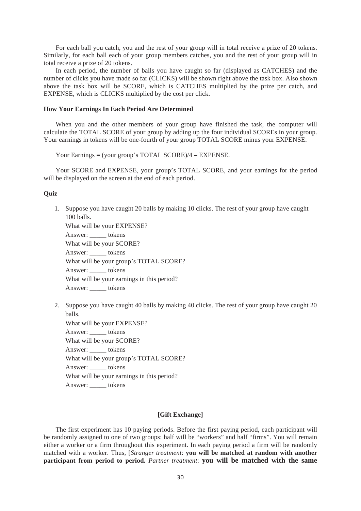For each ball you catch, you and the rest of your group will in total receive a prize of 20 tokens. Similarly, for each ball each of your group members catches, you and the rest of your group will in total receive a prize of 20 tokens.

In each period, the number of balls you have caught so far (displayed as CATCHES) and the number of clicks you have made so far (CLICKS) will be shown right above the task box. Also shown above the task box will be SCORE, which is CATCHES multiplied by the prize per catch, and EXPENSE, which is CLICKS multiplied by the cost per click.

# **How Your Earnings In Each Period Are Determined**

When you and the other members of your group have finished the task, the computer will calculate the TOTAL SCORE of your group by adding up the four individual SCOREs in your group. Your earnings in tokens will be one-fourth of your group TOTAL SCORE minus your EXPENSE:

Your Earnings = (your group's TOTAL SCORE)/4 – EXPENSE.

Your SCORE and EXPENSE, your group's TOTAL SCORE, and your earnings for the period will be displayed on the screen at the end of each period.

#### **Quiz**

| 1. | Suppose you have caught 20 balls by making 10 clicks. The rest of your group have caught |
|----|------------------------------------------------------------------------------------------|
|    | $100$ balls.                                                                             |
|    | What will be your EXPENSE?                                                               |
|    | Answer: ______ tokens                                                                    |
|    | What will be your SCORE?                                                                 |
|    | Answer: ______ tokens                                                                    |
|    | What will be your group's TOTAL SCORE?                                                   |
|    | Answer: tokens                                                                           |
|    | What will be your earnings in this period?                                               |
|    | Answer: tokens                                                                           |
|    |                                                                                          |
|    |                                                                                          |

2. Suppose you have caught 40 balls by making 40 clicks. The rest of your group have caught 20 balls.

What will be your EXPENSE? Answer: \_\_\_\_\_ tokens What will be your SCORE? Answer: \_\_\_\_\_ tokens What will be your group's TOTAL SCORE? Answer: tokens What will be your earnings in this period? Answer: \_\_\_\_\_ tokens

# **[Gift Exchange]**

The first experiment has 10 paying periods. Before the first paying period, each participant will be randomly assigned to one of two groups: half will be "workers" and half "firms". You will remain either a worker or a firm throughout this experiment. In each paying period a firm will be randomly matched with a worker. Thus, [*Stranger treatment*: **you will be matched at random with another participant from period to period.** *Partner treatment*: **you will be matched with the same**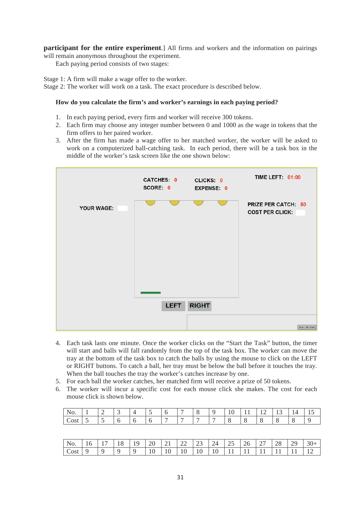**participant for the entire experiment**.] All firms and workers and the information on pairings will remain anonymous throughout the experiment.

Each paying period consists of two stages:

Stage 1: A firm will make a wage offer to the worker. Stage 2: The worker will work on a task. The exact procedure is described below.

# **How do you calculate the firm's and worker's earnings in each paying period?**

- 1. In each paying period, every firm and worker will receive 300 tokens.
- 2. Each firm may choose any integer number between 0 and 1000 as the wage in tokens that the firm offers to her paired worker.
- 3. After the firm has made a wage offer to her matched worker, the worker will be asked to work on a computerized ball-catching task. In each period, there will be a task box in the middle of the worker's task screen like the one shown below:



- 4. Each task lasts one minute. Once the worker clicks on the "Start the Task" button, the timer will start and balls will fall randomly from the top of the task box. The worker can move the tray at the bottom of the task box to catch the balls by using the mouse to click on the LEFT or RIGHT buttons. To catch a ball, her tray must be below the ball before it touches the tray. When the ball touches the tray the worker's catches increase by one.
- 5. For each ball the worker catches, her matched firm will receive a prize of 50 tokens.
- 6. The worker will incur a specific cost for each mouse click she makes. The cost for each mouse click is shown below.

| <b>IV.</b>        |   |  | . . | - |   |   | $\sim$<br>1 V | . . | --<br>$-$ | $\overline{\phantom{0}}$ | . 4 | -<br><b>⊥ ◡</b> |
|-------------------|---|--|-----|---|---|---|---------------|-----|-----------|--------------------------|-----|-----------------|
| ∩et<br><u>CON</u> | - |  | -   | - | - | - |               |     |           |                          |     |                 |

| $\vert$ No. | -16 | 18. | 19. | $\perp$ 20 |    |    |    |    | 21   22   23   24   25   26   27 |  | 28 | 29 | $30+$ |
|-------------|-----|-----|-----|------------|----|----|----|----|----------------------------------|--|----|----|-------|
| Cost        |     |     |     | 10         | 10 | 10 | 10 | 10 |                                  |  |    |    |       |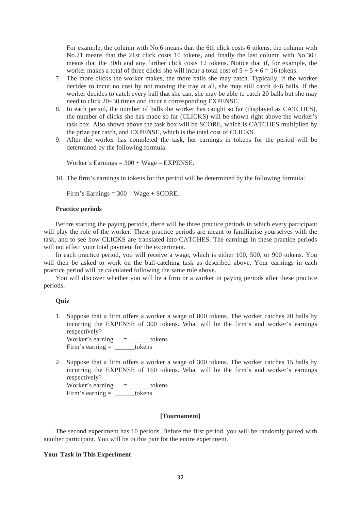For example, the column with No.6 means that the 6th click costs 6 tokens, the column with No.21 means that the 21st click costs 10 tokens, and finally the last column with No.30+ means that the 30th and any further click costs 12 tokens. Notice that if, for example, the worker makes a total of three clicks she will incur a total cost of  $5 + 5 + 6 = 16$  tokens.

- 7. The more clicks the worker makes, the more balls she may catch. Typically, if the worker decides to incur no cost by not moving the tray at all, she may still catch 4~6 balls. If the worker decides to catch every ball that she can, she may be able to catch 20 balls but she may need to click 20~30 times and incur a corresponding EXPENSE.
- 8. In each period, the number of balls the worker has caught so far (displayed as CATCHES), the number of clicks she has made so far (CLICKS) will be shown right above the worker's task box. Also shown above the task box will be SCORE, which is CATCHES multiplied by the prize per catch, and EXPENSE, which is the total cost of CLICKS.
- 9. After the worker has completed the task, her earnings in tokens for the period will be determined by the following formula:

Worker's Earnings = 300 + Wage – EXPENSE.

10. The firm's earnings in tokens for the period will be determined by the following formula:

Firm's Earnings = 300 – Wage + SCORE.

#### **Practice periods**

Before starting the paying periods, there will be three practice periods in which every participant will play the role of the worker. These practice periods are meant to familiarise yourselves with the task, and to see how CLICKS are translated into CATCHES. The earnings in these practice periods will not affect your total payment for the experiment.

In each practice period, you will receive a wage, which is either 100, 500, or 900 tokens. You will then be asked to work on the ball-catching task as described above. Your earnings in each practice period will be calculated following the same rule above.

You will discover whether you will be a firm or a worker in paying periods after these practice periods.

#### **Quiz**

1. Suppose that a firm offers a worker a wage of 800 tokens. The worker catches 20 balls by incurring the EXPENSE of 300 tokens. What will be the firm's and worker's earnings respectively?

Worker's earning  $=$  \_\_\_\_\_\_tokens Firm's earning = \_\_\_\_\_\_tokens

2. Suppose that a firm offers a worker a wage of 300 tokens. The worker catches 15 balls by incurring the EXPENSE of 160 tokens. What will be the firm's and worker's earnings respectively?

Worker's earning  $=$  \_\_\_\_\_\_tokens Firm's earning  $=$  tokens

#### **[Tournament]**

The second experiment has 10 periods. Before the first period, you will be randomly paired with another participant. You will be in this pair for the entire experiment.

#### **Your Task in This Experiment**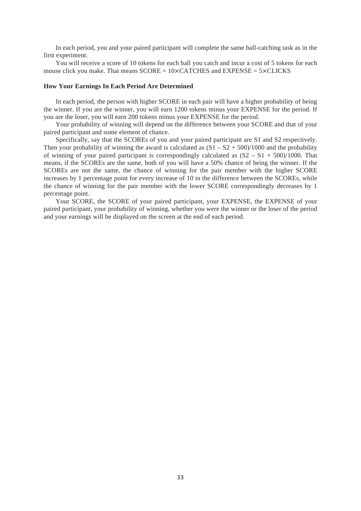In each period, you and your paired participant will complete the same ball-catching task as in the first experiment.

You will receive a score of 10 tokens for each ball you catch and incur a cost of 5 tokens for each mouse click you make. That means  $SCORE = 10 \times CATCHES$  and  $EXPENSE = 5 \times CLICKS$ 

#### **How Your Earnings In Each Period Are Determined**

In each period, the person with higher SCORE in each pair will have a higher probability of being the winner. If you are the winner, you will earn 1200 tokens minus your EXPENSE for the period. If you are the loser, you will earn 200 tokens minus your EXPENSE for the period.

Your probability of winning will depend on the difference between your SCORE and that of your paired participant and some element of chance.

Specifically, say that the SCOREs of you and your paired participant are S1 and S2 respectively. Then your probability of winning the award is calculated as  $(S1 - S2 + 500)/1000$  and the probability of winning of your paired participant is correspondingly calculated as  $(S2 - S1 + 500)/1000$ . That means, if the SCOREs are the same, both of you will have a 50% chance of being the winner. If the SCOREs are not the same, the chance of winning for the pair member with the higher SCORE increases by 1 percentage point for every increase of 10 in the difference between the SCOREs, while the chance of winning for the pair member with the lower SCORE correspondingly decreases by 1 percentage point.

Your SCORE, the SCORE of your paired participant, your EXPENSE, the EXPENSE of your paired participant, your probability of winning, whether you were the winner or the loser of the period and your earnings will be displayed on the screen at the end of each period.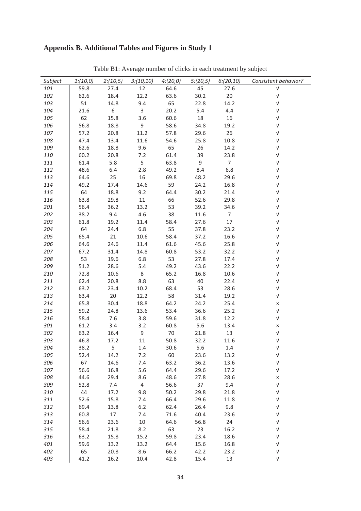# Appendix B. Additional Tables and Figures in Study 1

| Subject |      |                |                         |      |                | $1:(10,0)$ $2:(10,5)$ $3:(10,10)$ $4:(20,0)$ $5:(20,5)$ $6:(20,10)$ | Consistent behavior? |
|---------|------|----------------|-------------------------|------|----------------|---------------------------------------------------------------------|----------------------|
| 101     | 59.8 | 27.4           | 12                      | 64.6 | 45             | 27.6                                                                | $\sqrt{ }$           |
| 102     | 62.6 | 18.4           | 12.2                    | 63.6 | 30.2           | 20                                                                  | $\sqrt{ }$           |
| 103     | 51   | 14.8           | 9.4                     | 65   | 22.8           | 14.2                                                                | $\sqrt{ }$           |
| 104     | 21.6 | 6 <sup>6</sup> | $\overline{\mathbf{3}}$ | 20.2 | 5.4            | 4.4                                                                 | $\sqrt{ }$           |
| 105     | 62   | 15.8           | 3.6                     | 60.6 | 18             | 16                                                                  | $\sqrt{ }$           |
| 106     | 56.8 | 18.8           | $\overline{9}$          | 58.6 | 34.8           | 19.2                                                                | $\sqrt{ }$           |
| 107     | 57.2 | 20.8           | 11.2                    | 57.8 | 29.6           | 26                                                                  | $\sqrt{ }$           |
| 108     | 47.4 | 13.4           | 11.6                    | 54.6 | 25.8           | 10.8                                                                | $\sqrt{ }$           |
| 109     | 62.6 | 18.8           | 9.6                     | 65   | 26             | 14.2                                                                | $\sqrt{ }$           |
| 110     | 60.2 | 20.8           | 7.2                     | 61.4 | 39             | 23.8                                                                | $\sqrt{ }$           |
| 111     | 61.4 | 5.8            | 5 <sub>5</sub>          | 63.8 | $\overline{9}$ | $7\overline{ }$                                                     | $\sqrt{ }$           |
| 112     | 48.6 | 6.4 2.8        |                         | 49.2 | 8.4            | 6.8                                                                 | $\sqrt{ }$           |
| 113     | 64.6 | 25             | 16                      | 69.8 | 48.2           | 29.6                                                                | $\sqrt{ }$           |
| 114     | 49.2 | 17.4           | 14.6                    | 59   | 24.2           | 16.8                                                                | $\sqrt{ }$           |
| 115     | 64   | 18.8           | 9.2                     | 64.4 | 30.2           | 21.4                                                                | $\sqrt{ }$           |
| 116     | 63.8 | 29.8           | 11                      | 66   | 52.6           | 29.8                                                                | $\sqrt{ }$           |
| 201     | 56.4 | 36.2           | 13.2                    | 53   | 39.2           | 34.6                                                                | $\sqrt{ }$           |
| 202     | 38.2 | 9.4            | 4.6                     | 38   | 11.6           | $\overline{7}$                                                      | $\sqrt{ }$           |
| 203     | 61.8 | 19.2           | 11.4                    | 58.4 | 27.6           | 17                                                                  | $\sqrt{ }$           |
| 204     | 64   | 24.4           | 6.8                     | 55   | 37.8           | 23.2                                                                | $\sqrt{ }$           |
| 205     | 65.4 | 21             | 10.6                    | 58.4 | 37.2           | 16.6                                                                | $\sqrt{ }$           |
| 206     | 64.6 | 24.6           | 11.4                    | 61.6 | 45.6           | 25.8                                                                | $\sqrt{ }$           |
| 207     | 67.2 | 31.4           | 14.8                    | 60.8 | 53.2           | 32.2                                                                | $\sqrt{ }$           |
| 208     | 53   | 19.6           | 6.8                     | 53   | 27.8           | 17.4                                                                | $\sqrt{ }$           |
| 209     | 51.2 | 28.6           | 5.4                     | 49.2 | 43.6           | 22.2                                                                | $\sqrt{ }$           |
| 210     | 72.8 | 10.6           | 8 <sup>8</sup>          | 65.2 | 16.8           | 10.6                                                                | $\sqrt{ }$           |
| 211     | 62.4 | 20.8           | 8.8                     | 63   | 40             | 22.4                                                                | $\sqrt{ }$           |
| 212     | 63.2 | 23.4           | 10.2                    | 68.4 | 53             | 28.6                                                                | $\sqrt{ }$           |
| 213     | 63.4 | 20             | 12.2                    | 58   | 31.4           | 19.2                                                                | $\sqrt{ }$           |
| 214     | 65.8 | 30.4           | 18.8                    | 64.2 | 24.2           | 25.4                                                                | $\times$             |
| 215     | 59.2 | 24.8           | 13.6                    | 53.4 | 36.6           | 25.2                                                                | $\sqrt{ }$           |
| 216     | 58.4 | 7.6            | 3.8                     | 59.6 | 31.8           | 12.2                                                                | $\sqrt{ }$           |
| 301     | 61.2 | 3.4            | 3.2                     | 60.8 | 5.6            | 13.4                                                                | $\times$             |
| 302     | 63.2 | 16.4           | 9                       | 70   | 21.8           | 13                                                                  | $\sqrt{ }$           |
| 303     | 46.8 | 17.2           | 11                      | 50.8 | 32.2           | 11.6                                                                | $\sqrt{ }$           |
| 304     | 38.2 | 5              | 1.4                     | 30.6 | 5.6            | 1.4                                                                 | V                    |
| 305     | 52.4 | 14.2           | 7.2                     | 60   | 23.6           | 13.2                                                                | $\sqrt{ }$           |
| 306     | 67   | 14.6           | 7.4                     | 63.2 | 36.2           | 13.6                                                                | $\sqrt{ }$           |
| 307     | 56.6 | 16.8           | 5.6                     | 64.4 | 29.6           | 17.2                                                                | $\sqrt{ }$           |
| 308     | 44.6 | 29.4           | 8.6                     | 48.6 | 27.8           | 28.6                                                                | ×                    |
| 309     | 52.8 | 7.4            | 4                       | 56.6 | 37             | 9.4                                                                 | $\sqrt{ }$           |
| 310     | 44   | 17.2           | 9.8                     | 50.2 | 29.8           | 21.8                                                                | $\sqrt{ }$           |
| 311     | 52.6 | 15.8           | 7.4                     | 66.4 | 29.6           | 11.8                                                                | $\sqrt{ }$           |
| 312     | 69.4 | 13.8           | $6.2$                   | 62.4 | 26.4           | 9.8                                                                 | $\sqrt{ }$           |
| 313     | 60.8 | 17             | 7.4                     | 71.6 | 40.4           | 23.6                                                                | V                    |
| 314     | 56.6 | 23.6           | $10\,$                  | 64.6 | 56.8           | 24                                                                  | V                    |
| 315     | 58.4 | 21.8           | 8.2                     | 63   | 23             | 16.2                                                                | V                    |
| 316     | 63.2 | 15.8           | 15.2                    | 59.8 | 23.4           | 18.6                                                                | $\sqrt{ }$           |
| 401     | 59.6 | 13.2           | 13.2                    | 64.4 | 15.6           | 16.8                                                                | V                    |
| 402     | 65   | 20.8           | 8.6                     | 66.2 | 42.2           | 23.2                                                                | $\sqrt{ }$           |
| 403     | 41.2 | 16.2           | 10.4                    | 42.8 | 15.4           | 13                                                                  | $\sqrt{ }$           |

Table B1: Average number of clicks in each treatment by subject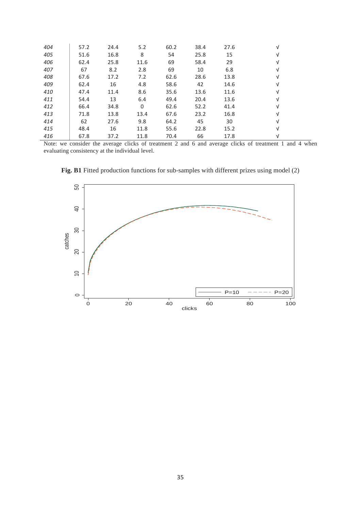| 404 | 57.2 | 24.4 | 5.2  | 60.2 | 38.4 | 27.6 | v          |
|-----|------|------|------|------|------|------|------------|
| 405 | 51.6 | 16.8 | 8    | 54   | 25.8 | 15   | V          |
| 406 | 62.4 | 25.8 | 11.6 | 69   | 58.4 | 29   | ν          |
| 407 | 67   | 8.2  | 2.8  | 69   | 10   | 6.8  | ν          |
| 408 | 67.6 | 17.2 | 7.2  | 62.6 | 28.6 | 13.8 | ν          |
| 409 | 62.4 | 16   | 4.8  | 58.6 | 42   | 14.6 | V          |
| 410 | 47.4 | 11.4 | 8.6  | 35.6 | 13.6 | 11.6 | V          |
| 411 | 54.4 | 13   | 6.4  | 49.4 | 20.4 | 13.6 | V          |
| 412 | 66.4 | 34.8 | 0    | 62.6 | 52.2 | 41.4 | ν          |
| 413 | 71.8 | 13.8 | 13.4 | 67.6 | 23.2 | 16.8 | V          |
| 414 | 62   | 27.6 | 9.8  | 64.2 | 45   | 30   | $\sqrt{ }$ |
| 415 | 48.4 | 16   | 11.8 | 55.6 | 22.8 | 15.2 | ν          |
| 416 | 67.8 | 37.2 | 11.8 | 70.4 | 66   | 17.8 | ν          |

Note: we consider the average clicks of treatment 2 and 6 and average clicks of treatment 1 and 4 when evaluating consistency at the individual level.



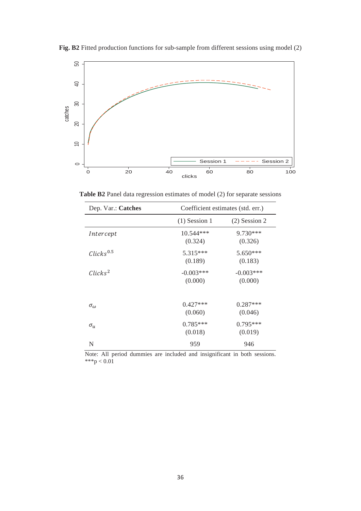

**Fig. B2** Fitted production functions for sub-sample from different sessions using model (2)

**Table B2** Panel data regression estimates of model (2) for separate sessions

| Dep. Var.: Catches               |                        | Coefficient estimates (std. err.) |
|----------------------------------|------------------------|-----------------------------------|
|                                  | $(1)$ Session 1        | $(2)$ Session 2                   |
| Intercept                        | 10.544 ***<br>(0.324)  | 9.730***<br>(0.326)               |
| $\mathcal{C}licks^{0.5}$         | $5.315***$<br>(0.189)  | $5.650***$<br>(0.183)             |
| $\mathcal{C}$ licks <sup>2</sup> | $-0.003***$<br>(0.000) | $-0.003***$<br>(0.000)            |
| $\sigma_{\omega}$                | $0.427***$<br>(0.060)  | $0.287***$<br>(0.046)             |
| $\sigma_u$                       | $0.785***$<br>(0.018)  | $0.795***$<br>(0.019)             |
| N                                | 959                    | 946                               |

Note: All period dummies are included and insignificant in both sessions. \*\*\*p <  $0.01$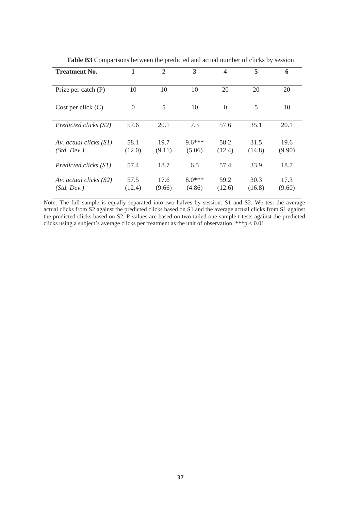| <b>Treatment No.</b>                    | 1              | $\overline{2}$ | 3                  | $\overline{\mathbf{4}}$ | 5              | 6              |
|-----------------------------------------|----------------|----------------|--------------------|-------------------------|----------------|----------------|
| Prize per catch $(P)$                   | 10             | 10             | 10                 | 20                      | 20             | 20             |
| Cost per click $(C)$                    | $\overline{0}$ | 5              | 10                 | $\Omega$                | 5              | 10             |
| Predicted clicks (S2)                   | 57.6           | 20.1           | 7.3                | 57.6                    | 35.1           | 20.1           |
| Av. actual clicks $(SI)$<br>(Std. Dev.) | 58.1<br>(12.0) | 19.7<br>(9.11) | $9.6***$<br>(5.06) | 58.2<br>(12.4)          | 31.5<br>(14.8) | 19.6<br>(9.90) |
| Predicted clicks (S1)                   | 57.4           | 18.7           | 6.5                | 57.4                    | 33.9           | 18.7           |
| Av. actual clicks $(S2)$<br>(Std. Dev.) | 57.5<br>(12.4) | 17.6<br>(9.66) | $8.0***$<br>(4.86) | 59.2<br>(12.6)          | 30.3<br>(16.8) | 17.3<br>(9.60) |

**Table B3** Comparisons between the predicted and actual number of clicks by session

Note: The full sample is equally separated into two halves by session: S1 and S2. We test the average actual clicks from S2 against the predicted clicks based on S1 and the average actual clicks from S1 against the predicted clicks based on S2. P-values are based on two-tailed one-sample t-tests against the predicted the predicted clicks using a subject's average clicks per treatment as the unit of observation. \*\*\*p  $< 0.01$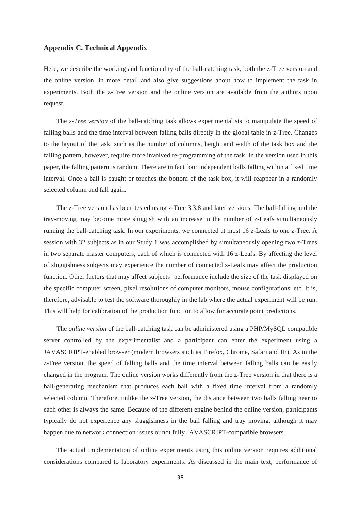### **Appendix C. Technical Appendix**

Here, we describe the working and functionality of the ball-catching task, both the z-Tree version and the online version, in more detail and also give suggestions about how to implement the task in experiments. Both the z-Tree version and the online version are available from the authors upon request.

The *z-Tree version* of the ball-catching task allows experimentalists to manipulate the speed of falling balls and the time interval between falling balls directly in the global table in z-Tree. Changes to the layout of the task, such as the number of columns, height and width of the task box and the falling pattern, however, require more involved re-programming of the task. In the version used in this paper, the falling pattern is random. There are in fact four independent balls falling within a fixed time interval. Once a ball is caught or touches the bottom of the task box, it will reappear in a randomly selected column and fall again.

The z-Tree version has been tested using z-Tree 3.3.8 and later versions. The ball-falling and the tray-moving may become more sluggish with an increase in the number of z-Leafs simultaneously running the ball-catching task. In our experiments, we connected at most 16 z-Leafs to one z-Tree. A session with 32 subjects as in our Study 1 was accomplished by simultaneously opening two z-Trees in two separate master computers, each of which is connected with 16 z-Leafs. By affecting the level of sluggishness subjects may experience the number of connected z-Leafs may affect the production function. Other factors that may affect subjects' performance include the size of the task displayed on the specific computer screen, pixel resolutions of computer monitors, mouse configurations, etc. It is, therefore, advisable to test the software thoroughly in the lab where the actual experiment will be run. This will help for calibration of the production function to allow for accurate point predictions.

The *online version* of the ball-catching task can be administered using a PHP/MySQL compatible server controlled by the experimentalist and a participant can enter the experiment using a JAVASCRIPT-enabled browser (modern browsers such as Firefox, Chrome, Safari and IE). As in the z-Tree version, the speed of falling balls and the time interval between falling balls can be easily changed in the program. The online version works differently from the z-Tree version in that there is a ball-generating mechanism that produces each ball with a fixed time interval from a randomly selected column. Therefore, unlike the z-Tree version, the distance between two balls falling near to each other is always the same. Because of the different engine behind the online version, participants typically do not experience any sluggishness in the ball falling and tray moving, although it may happen due to network connection issues or not fully JAVASCRIPT-compatible browsers.

The actual implementation of online experiments using this online version requires additional considerations compared to laboratory experiments. As discussed in the main text, performance of